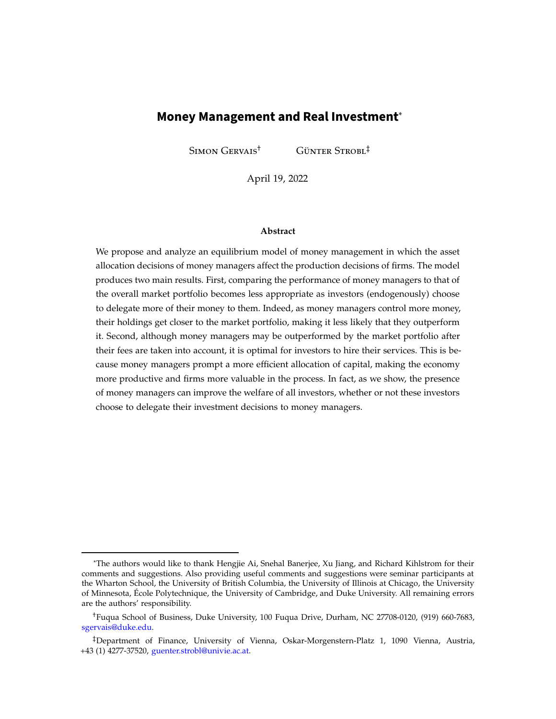# **Money Management and Real Investment**\*

SIMON GERVAIS<sup>†</sup> GÜNTER STROBL<sup>‡</sup>

April 19, 2022

#### **Abstract**

We propose and analyze an equilibrium model of money management in which the asset allocation decisions of money managers affect the production decisions of firms. The model produces two main results. First, comparing the performance of money managers to that of the overall market portfolio becomes less appropriate as investors (endogenously) choose to delegate more of their money to them. Indeed, as money managers control more money, their holdings get closer to the market portfolio, making it less likely that they outperform it. Second, although money managers may be outperformed by the market portfolio after their fees are taken into account, it is optimal for investors to hire their services. This is because money managers prompt a more efficient allocation of capital, making the economy more productive and firms more valuable in the process. In fact, as we show, the presence of money managers can improve the welfare of all investors, whether or not these investors choose to delegate their investment decisions to money managers.

<sup>\*</sup>The authors would like to thank Hengjie Ai, Snehal Banerjee, Xu Jiang, and Richard Kihlstrom for their comments and suggestions. Also providing useful comments and suggestions were seminar participants at the Wharton School, the University of British Columbia, the University of Illinois at Chicago, the University of Minnesota, École Polytechnique, the University of Cambridge, and Duke University. All remaining errors are the authors' responsibility.

<sup>†</sup>Fuqua School of Business, Duke University, 100 Fuqua Drive, Durham, NC 27708-0120, (919) 660-7683, [sgervais@duke.edu.](mailto:sgervais@duke.edu)

<sup>‡</sup>Department of Finance, University of Vienna, Oskar-Morgenstern-Platz 1, 1090 Vienna, Austria, +43 (1) 4277-37520, [guenter.strobl@univie.ac.at.](mailto:guenter.strobl@univie.ac.at)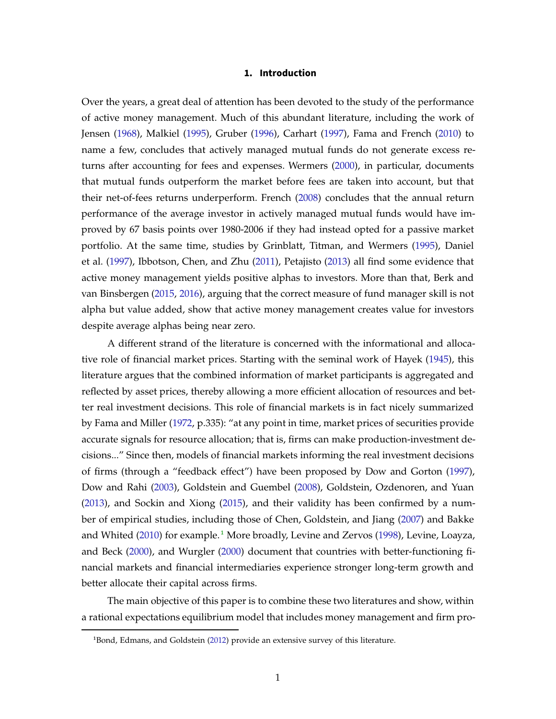## **1. Introduction**

<span id="page-1-1"></span>Over the years, a great deal of attention has been devoted to the study of the performance of active money management. Much of this abundant literature, including the work of Jensen [\(1968](#page-44-0)), Malkiel [\(1995\)](#page-44-1), Gruber [\(1996\)](#page-44-2), Carhart [\(1997](#page-43-0)), Fama and French [\(2010\)](#page-43-1) to name a few, concludes that actively managed mutual funds do not generate excess returns after accounting for fees and expenses. Wermers [\(2000](#page-45-0)), in particular, documents that mutual funds outperform the market before fees are taken into account, but that their net-of-fees returns underperform. French [\(2008](#page-43-2)) concludes that the annual return performance of the average investor in actively managed mutual funds would have improved by 67 basis points over 1980-2006 if they had instead opted for a passive market portfolio. At the same time, studies by Grinblatt, Titman, and Wermers [\(1995\)](#page-44-3), Daniel et al. [\(1997](#page-43-3)), Ibbotson, Chen, and Zhu [\(2011](#page-44-4)), Petajisto [\(2013](#page-44-5)) all find some evidence that active money management yields positive alphas to investors. More than that, Berk and van Binsbergen [\(2015](#page-42-0), [2016](#page-42-1)), arguing that the correct measure of fund manager skill is not alpha but value added, show that active money management creates value for investors despite average alphas being near zero.

A different strand of the literature is concerned with the informational and allocative role of financial market prices. Starting with the seminal work of Hayek [\(1945](#page-44-6)), this literature argues that the combined information of market participants is aggregated and reflected by asset prices, thereby allowing a more efficient allocation of resources and better real investment decisions. This role of financial markets is in fact nicely summarized by Fama and Miller [\(1972,](#page-43-4) p.335): "at any point in time, market prices of securities provide accurate signals for resource allocation; that is, firms can make production-investment decisions..." Since then, models of financial markets informing the real investment decisions of firms (through a "feedback effect") have been proposed by Dow and Gorton [\(1997\)](#page-43-5), Dow and Rahi [\(2003](#page-43-6)), Goldstein and Guembel [\(2008](#page-43-7)), Goldstein, Ozdenoren, and Yuan [\(2013\)](#page-43-8), and Sockin and Xiong [\(2015\)](#page-45-1), and their validity has been confirmed by a number of empirical studies, including those of Chen, Goldstein, and Jiang [\(2007](#page-43-9)) and Bakke and Whited [\(2010](#page-42-2)) for example.[1](#page-1-0) More broadly, Levine and Zervos [\(1998](#page-44-7)), Levine, Loayza, and Beck [\(2000\)](#page-44-8), and Wurgler [\(2000](#page-45-2)) document that countries with better-functioning financial markets and financial intermediaries experience stronger long-term growth and better allocate their capital across firms.

The main objective of this paper is to combine these two literatures and show, within a rational expectations equilibrium model that includes money management and firm pro-

<span id="page-1-0"></span><sup>&</sup>lt;sup>1</sup>Bond, Edmans, and Goldstein [\(2012](#page-43-10)) provide an extensive survey of this literature.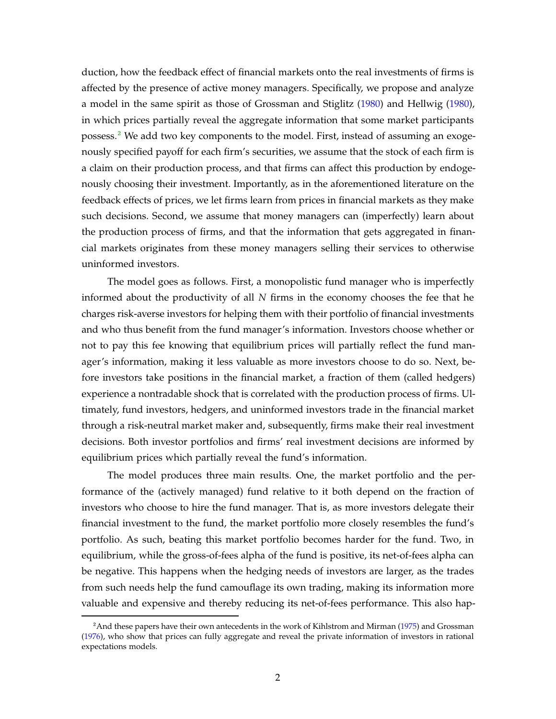<span id="page-2-1"></span>duction, how the feedback effect of financial markets onto the real investments of firms is affected by the presence of active money managers. Specifically, we propose and analyze a model in the same spirit as those of Grossman and Stiglitz [\(1980\)](#page-44-9) and Hellwig [\(1980\)](#page-44-10), in which prices partially reveal the aggregate information that some market participants possess.<sup>[2](#page-2-0)</sup> We add two key components to the model. First, instead of assuming an exogenously specified payoff for each firm's securities, we assume that the stock of each firm is a claim on their production process, and that firms can affect this production by endogenously choosing their investment. Importantly, as in the aforementioned literature on the feedback effects of prices, we let firms learn from prices in financial markets as they make such decisions. Second, we assume that money managers can (imperfectly) learn about the production process of firms, and that the information that gets aggregated in financial markets originates from these money managers selling their services to otherwise uninformed investors.

The model goes as follows. First, a monopolistic fund manager who is imperfectly informed about the productivity of all *N* firms in the economy chooses the fee that he charges risk-averse investors for helping them with their portfolio of financial investments and who thus benefit from the fund manager's information. Investors choose whether or not to pay this fee knowing that equilibrium prices will partially reflect the fund manager's information, making it less valuable as more investors choose to do so. Next, before investors take positions in the financial market, a fraction of them (called hedgers) experience a nontradable shock that is correlated with the production process of firms. Ultimately, fund investors, hedgers, and uninformed investors trade in the financial market through a risk-neutral market maker and, subsequently, firms make their real investment decisions. Both investor portfolios and firms' real investment decisions are informed by equilibrium prices which partially reveal the fund's information.

The model produces three main results. One, the market portfolio and the performance of the (actively managed) fund relative to it both depend on the fraction of investors who choose to hire the fund manager. That is, as more investors delegate their financial investment to the fund, the market portfolio more closely resembles the fund's portfolio. As such, beating this market portfolio becomes harder for the fund. Two, in equilibrium, while the gross-of-fees alpha of the fund is positive, its net-of-fees alpha can be negative. This happens when the hedging needs of investors are larger, as the trades from such needs help the fund camouflage its own trading, making its information more valuable and expensive and thereby reducing its net-of-fees performance. This also hap-

<span id="page-2-0"></span><sup>&</sup>lt;sup>2</sup> And these papers have their own antecedents in the work of Kihlstrom and Mirman [\(1975](#page-44-11)) and Grossman [\(1976\)](#page-44-12), who show that prices can fully aggregate and reveal the private information of investors in rational expectations models.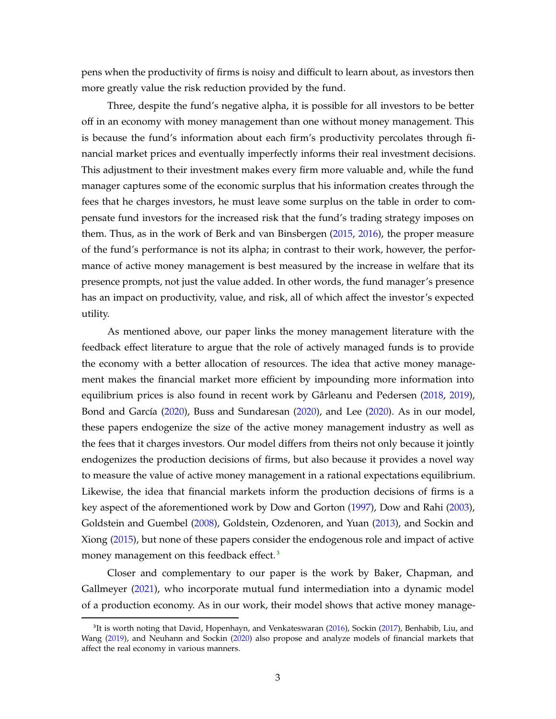<span id="page-3-1"></span>pens when the productivity of firms is noisy and difficult to learn about, as investors then more greatly value the risk reduction provided by the fund.

Three, despite the fund's negative alpha, it is possible for all investors to be better off in an economy with money management than one without money management. This is because the fund's information about each firm's productivity percolates through financial market prices and eventually imperfectly informs their real investment decisions. This adjustment to their investment makes every firm more valuable and, while the fund manager captures some of the economic surplus that his information creates through the fees that he charges investors, he must leave some surplus on the table in order to compensate fund investors for the increased risk that the fund's trading strategy imposes on them. Thus, as in the work of Berk and van Binsbergen [\(2015](#page-42-0), [2016](#page-42-1)), the proper measure of the fund's performance is not its alpha; in contrast to their work, however, the performance of active money management is best measured by the increase in welfare that its presence prompts, not just the value added. In other words, the fund manager's presence has an impact on productivity, value, and risk, all of which affect the investor's expected utility.

As mentioned above, our paper links the money management literature with the feedback effect literature to argue that the role of actively managed funds is to provide the economy with a better allocation of resources. The idea that active money management makes the financial market more efficient by impounding more information into equilibrium prices is also found in recent work by Gârleanu and Pedersen [\(2018](#page-43-11), [2019\)](#page-43-12), Bond and García [\(2020\)](#page-43-13), Buss and Sundaresan [\(2020](#page-43-14)), and Lee [\(2020\)](#page-44-13). As in our model, these papers endogenize the size of the active money management industry as well as the fees that it charges investors. Our model differs from theirs not only because it jointly endogenizes the production decisions of firms, but also because it provides a novel way to measure the value of active money management in a rational expectations equilibrium. Likewise, the idea that financial markets inform the production decisions of firms is a key aspect of the aforementioned work by Dow and Gorton [\(1997](#page-43-5)), Dow and Rahi [\(2003\)](#page-43-6), Goldstein and Guembel [\(2008\)](#page-43-7), Goldstein, Ozdenoren, and Yuan [\(2013](#page-43-8)), and Sockin and Xiong [\(2015\)](#page-45-1), but none of these papers consider the endogenous role and impact of active money management on this feedback effect.<sup>[3](#page-3-0)</sup>

Closer and complementary to our paper is the work by Baker, Chapman, and Gallmeyer [\(2021\)](#page-42-3), who incorporate mutual fund intermediation into a dynamic model of a production economy. As in our work, their model shows that active money manage-

<span id="page-3-0"></span><sup>&</sup>lt;sup>3</sup>It is worth noting that David, Hopenhayn, and Venkateswaran [\(2016\)](#page-43-15), Sockin [\(2017](#page-44-14)), Benhabib, Liu, and Wang [\(2019\)](#page-42-4), and Neuhann and Sockin [\(2020\)](#page-44-15) also propose and analyze models of financial markets that affect the real economy in various manners.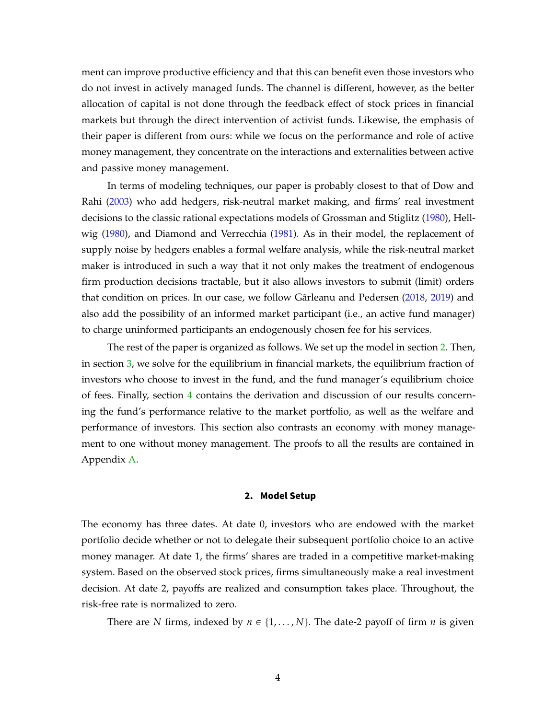<span id="page-4-1"></span>ment can improve productive efficiency and that this can benefit even those investors who do not invest in actively managed funds. The channel is different, however, as the better allocation of capital is not done through the feedback effect of stock prices in financial markets but through the direct intervention of activist funds. Likewise, the emphasis of their paper is different from ours: while we focus on the performance and role of active money management, they concentrate on the interactions and externalities between active and passive money management.

In terms of modeling techniques, our paper is probably closest to that of Dow and Rahi [\(2003](#page-43-6)) who add hedgers, risk-neutral market making, and firms' real investment decisions to the classic rational expectations models of Grossman and Stiglitz [\(1980](#page-44-9)), Hellwig [\(1980](#page-44-10)), and Diamond and Verrecchia [\(1981](#page-43-16)). As in their model, the replacement of supply noise by hedgers enables a formal welfare analysis, while the risk-neutral market maker is introduced in such a way that it not only makes the treatment of endogenous firm production decisions tractable, but it also allows investors to submit (limit) orders that condition on prices. In our case, we follow Gârleanu and Pedersen [\(2018](#page-43-11), [2019](#page-43-12)) and also add the possibility of an informed market participant (i.e., an active fund manager) to charge uninformed participants an endogenously chosen fee for his services.

The rest of the paper is organized as follows. We set up the model in section [2.](#page-4-0) Then, in section [3,](#page-7-0) we solve for the equilibrium in financial markets, the equilibrium fraction of investors who choose to invest in the fund, and the fund manager's equilibrium choice of fees. Finally, section [4](#page-15-0) contains the derivation and discussion of our results concerning the fund's performance relative to the market portfolio, as well as the welfare and performance of investors. This section also contrasts an economy with money management to one without money management. The proofs to all the results are contained in Appendix [A.](#page-26-0)

## **2. Model Setup**

<span id="page-4-0"></span>The economy has three dates. At date 0, investors who are endowed with the market portfolio decide whether or not to delegate their subsequent portfolio choice to an active money manager. At date 1, the firms' shares are traded in a competitive market-making system. Based on the observed stock prices, firms simultaneously make a real investment decision. At date 2, payoffs are realized and consumption takes place. Throughout, the risk-free rate is normalized to zero.

There are *N* firms, indexed by  $n \in \{1, ..., N\}$ . The date-2 payoff of firm *n* is given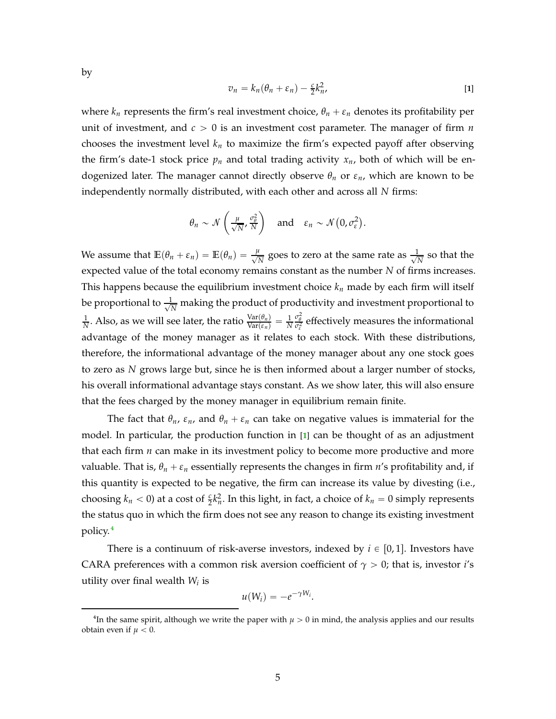by

<span id="page-5-0"></span>
$$
v_n = k_n(\theta_n + \varepsilon_n) - \frac{\varepsilon}{2} k_n^2, \tag{1}
$$

where  $k_n$  represents the firm's real investment choice,  $\theta_n + \varepsilon_n$  denotes its profitability per unit of investment, and  $c > 0$  is an investment cost parameter. The manager of firm  $n$ chooses the investment level  $k_n$  to maximize the firm's expected payoff after observing the firm's date-1 stock price  $p_n$  and total trading activity  $x_n$ , both of which will be endogenized later. The manager cannot directly observe *θ<sup>n</sup>* or *εn*, which are known to be independently normally distributed, with each other and across all *N* firms:

$$
\theta_n \sim \mathcal{N}\left(\frac{\mu}{\sqrt{N}}, \frac{\sigma_\theta^2}{N}\right)
$$
 and  $\varepsilon_n \sim \mathcal{N}\left(0, \sigma_\varepsilon^2\right)$ .

We assume that  $\mathbb{E}(\theta_n + \varepsilon_n) = \mathbb{E}(\theta_n) = \frac{\mu}{\sqrt{N}}$  goes to zero at the same rate as  $\frac{1}{\sqrt{N}}$  $\frac{1}{N}$  so that the expected value of the total economy remains constant as the number *N* of firms increases. This happens because the equilibrium investment choice  $k_n$  made by each firm will itself be proportional to  $\frac{1}{\sqrt{2}}$  $\frac{1}{N}$  making the product of productivity and investment proportional to 1 *N*. Also, as we will see later, the ratio  $\frac{\text{Var}(\theta_n)}{\text{Var}(\varepsilon_n)} = \frac{1}{N}$  $\frac{\sigma_{\theta}^2}{\sigma_{\epsilon}^2}$  effectively measures the informational advantage of the money manager as it relates to each stock. With these distributions, therefore, the informational advantage of the money manager about any one stock goes to zero as *N* grows large but, since he is then informed about a larger number of stocks, his overall informational advantage stays constant. As we show later, this will also ensure that the fees charged by the money manager in equilibrium remain finite.

The fact that  $\theta_n$ ,  $\varepsilon_n$ , and  $\theta_n + \varepsilon_n$  can take on negative values is immaterial for the model. In particular, the production function in [**[1](#page-5-0)**] can be thought of as an adjustment that each firm *n* can make in its investment policy to become more productive and more valuable. That is,  $\theta_n + \varepsilon_n$  essentially represents the changes in firm  $n$ 's profitability and, if this quantity is expected to be negative, the firm can increase its value by divesting (i.e., choosing  $k_n < 0$ ) at a cost of  $\frac{c}{2}k_n^2$ . In this light, in fact, a choice of  $k_n = 0$  simply represents the status quo in which the firm does not see any reason to change its existing investment policy.[4](#page-5-1)

There is a continuum of risk-averse investors, indexed by  $i \in [0, 1]$ . Investors have CARA preferences with a common risk aversion coefficient of  $\gamma > 0$ ; that is, investor *i*'s utility over final wealth *W<sup>i</sup>* is

$$
u(W_i) = -e^{-\gamma W_i}.
$$

<span id="page-5-1"></span><sup>&</sup>lt;sup>4</sup>In the same spirit, although we write the paper with  $\mu > 0$  in mind, the analysis applies and our results obtain even if  $\mu < 0$ .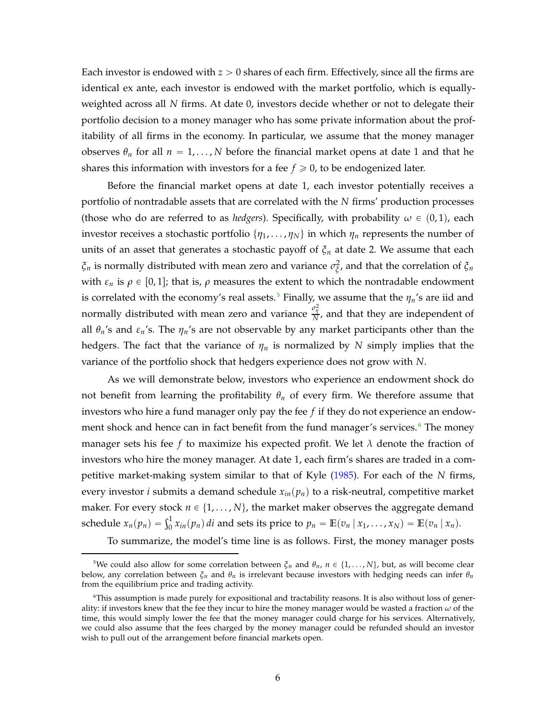<span id="page-6-2"></span>Each investor is endowed with  $z > 0$  shares of each firm. Effectively, since all the firms are identical ex ante, each investor is endowed with the market portfolio, which is equallyweighted across all *N* firms. At date 0, investors decide whether or not to delegate their portfolio decision to a money manager who has some private information about the profitability of all firms in the economy. In particular, we assume that the money manager observes  $\theta_n$  for all  $n = 1, ..., N$  before the financial market opens at date 1 and that he shares this information with investors for a fee  $f \geq 0$ , to be endogenized later.

Before the financial market opens at date 1, each investor potentially receives a portfolio of nontradable assets that are correlated with the *N* firms' production processes (those who do are referred to as *hedgers*). Specifically, with probability  $\omega \in (0, 1)$ , each investor receives a stochastic portfolio  $\{\eta_1, \ldots, \eta_N\}$  in which  $\eta_n$  represents the number of units of an asset that generates a stochastic payoff of *ξ<sup>n</sup>* at date 2. We assume that each *ξ<sup>n</sup>* is normally distributed with mean zero and variance *σ* 2 *ξ* , and that the correlation of *ξ<sup>n</sup>* with  $\varepsilon_n$  is  $\rho \in [0, 1]$ ; that is,  $\rho$  measures the extent to which the nontradable endowment is correlated with the economy's real assets.<sup>[5](#page-6-0)</sup> Finally, we assume that the  $\eta_n$ 's are iid and normally distributed with mean zero and variance  $\frac{\sigma_\eta^2}{N}$ , and that they are independent of all  $\theta_n$ 's and  $\varepsilon_n$ 's. The  $\eta_n$ 's are not observable by any market participants other than the hedgers. The fact that the variance of *η<sup>n</sup>* is normalized by *N* simply implies that the variance of the portfolio shock that hedgers experience does not grow with *N*.

As we will demonstrate below, investors who experience an endowment shock do not benefit from learning the profitability *θ<sup>n</sup>* of every firm. We therefore assume that investors who hire a fund manager only pay the fee *f* if they do not experience an endow-ment shock and hence can in fact benefit from the fund manager's services.<sup>[6](#page-6-1)</sup> The money manager sets his fee *f* to maximize his expected profit. We let *λ* denote the fraction of investors who hire the money manager. At date 1, each firm's shares are traded in a competitive market-making system similar to that of Kyle [\(1985](#page-44-16)). For each of the *N* firms, every investor *i* submits a demand schedule  $x_{in}(p_n)$  to a risk-neutral, competitive market maker. For every stock  $n \in \{1, ..., N\}$ , the market maker observes the aggregate demand schedule  $x_n(p_n) = \int_0^1 x_{in}(p_n) dt$  and sets its price to  $p_n = \mathbb{E}(v_n | x_1, ..., x_N) = \mathbb{E}(v_n | x_n)$ .

To summarize, the model's time line is as follows. First, the money manager posts

<span id="page-6-0"></span><sup>&</sup>lt;sup>5</sup>We could also allow for some correlation between  $\xi_n$  and  $\theta_n$ ,  $n \in \{1, ..., N\}$ , but, as will become clear below, any correlation between  $\xi_n$  and  $\theta_n$  is irrelevant because investors with hedging needs can infer  $\theta_n$ from the equilibrium price and trading activity.

<span id="page-6-1"></span><sup>6</sup>This assumption is made purely for expositional and tractability reasons. It is also without loss of generality: if investors knew that the fee they incur to hire the money manager would be wasted a fraction  $\omega$  of the time, this would simply lower the fee that the money manager could charge for his services. Alternatively, we could also assume that the fees charged by the money manager could be refunded should an investor wish to pull out of the arrangement before financial markets open.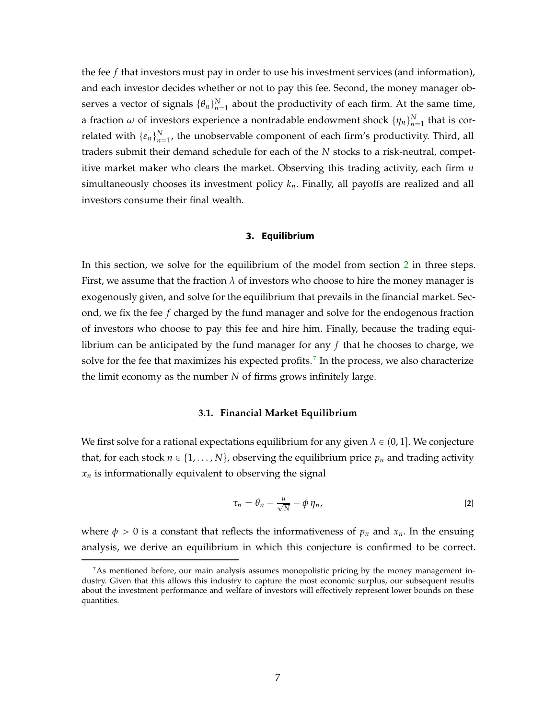the fee *f* that investors must pay in order to use his investment services (and information), and each investor decides whether or not to pay this fee. Second, the money manager observes a vector of signals  $\{\theta_n\}_{n=1}^N$  about the productivity of each firm. At the same time, a fraction  $\omega$  of investors experience a nontradable endowment shock  $\{\eta_n\}_{n=1}^N$  that is correlated with  $\{\varepsilon_n\}_{n=1}^N$ , the unobservable component of each firm's productivity. Third, all traders submit their demand schedule for each of the *N* stocks to a risk-neutral, competitive market maker who clears the market. Observing this trading activity, each firm *n* simultaneously chooses its investment policy *kn*. Finally, all payoffs are realized and all investors consume their final wealth.

## **3. Equilibrium**

<span id="page-7-0"></span>In this section, we solve for the equilibrium of the model from section [2](#page-4-0) in three steps. First, we assume that the fraction  $\lambda$  of investors who choose to hire the money manager is exogenously given, and solve for the equilibrium that prevails in the financial market. Second, we fix the fee *f* charged by the fund manager and solve for the endogenous fraction of investors who choose to pay this fee and hire him. Finally, because the trading equilibrium can be anticipated by the fund manager for any *f* that he chooses to charge, we solve for the fee that maximizes his expected profits.<sup>[7](#page-7-1)</sup> In the process, we also characterize the limit economy as the number *N* of firms grows infinitely large.

## **3.1. Financial Market Equilibrium**

We first solve for a rational expectations equilibrium for any given  $\lambda \in (0, 1]$ . We conjecture that, for each stock  $n \in \{1, \ldots, N\}$ , observing the equilibrium price  $p_n$  and trading activity  $x_n$  is informationally equivalent to observing the signal

<span id="page-7-2"></span>
$$
\tau_n = \theta_n - \frac{\mu}{\sqrt{N}} - \phi \, \eta_n, \tag{2}
$$

where  $\phi > 0$  is a constant that reflects the informativeness of  $p_n$  and  $x_n$ . In the ensuing analysis, we derive an equilibrium in which this conjecture is confirmed to be correct.

<span id="page-7-1"></span><sup>7</sup>As mentioned before, our main analysis assumes monopolistic pricing by the money management industry. Given that this allows this industry to capture the most economic surplus, our subsequent results about the investment performance and welfare of investors will effectively represent lower bounds on these quantities.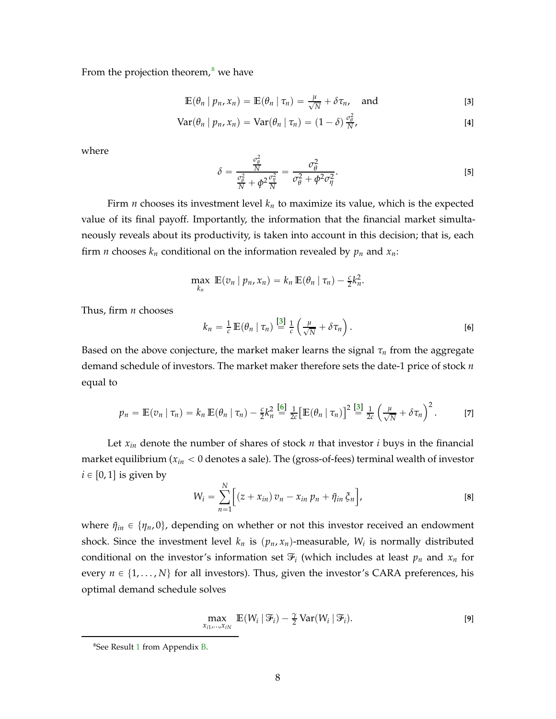From the projection theorem, $\delta$  we have

$$
\mathbb{E}(\theta_n | p_n, x_n) = \mathbb{E}(\theta_n | \tau_n) = \frac{\mu}{\sqrt{N}} + \delta \tau_n, \text{ and } [3]
$$

$$
\text{Var}(\theta_n \mid p_n, x_n) = \text{Var}(\theta_n \mid \tau_n) = (1 - \delta) \frac{\sigma_\theta^2}{N},\tag{4}
$$

where

<span id="page-8-5"></span><span id="page-8-4"></span><span id="page-8-1"></span>
$$
\delta = \frac{\frac{\sigma_{\theta}^2}{N}}{\frac{\sigma_{\theta}^2}{N} + \phi^2 \frac{\sigma_{\eta}^2}{N}} = \frac{\sigma_{\theta}^2}{\sigma_{\theta}^2 + \phi^2 \sigma_{\eta}^2}.
$$
 [5]

Firm *n* chooses its investment level  $k_n$  to maximize its value, which is the expected value of its final payoff. Importantly, the information that the financial market simultaneously reveals about its productivity, is taken into account in this decision; that is, each firm *n* chooses  $k_n$  conditional on the information revealed by  $p_n$  and  $x_n$ :

$$
\max_{k_n} \mathbb{E}(v_n | p_n, x_n) = k_n \mathbb{E}(\theta_n | \tau_n) - \frac{c}{2}k_n^2.
$$

Thus, firm *n* chooses

<span id="page-8-3"></span><span id="page-8-2"></span>
$$
k_n = \frac{1}{c} \mathbb{E}(\theta_n \mid \tau_n) \stackrel{\text{[3]}}{=} \frac{1}{c} \left( \frac{\mu}{\sqrt{N}} + \delta \tau_n \right).
$$
 [6]

Based on the above conjecture, the market maker learns the signal  $\tau_n$  from the aggregate demand schedule of investors. The market maker therefore sets the date-1 price of stock *n* equal to

$$
p_n = \mathbb{E}(v_n \mid \tau_n) = k_n \mathbb{E}(\theta_n \mid \tau_n) - \frac{c}{2}k_n^2 \stackrel{\text{[6]}}{=} \frac{1}{2c} \big[ \mathbb{E}(\theta_n \mid \tau_n) \big]^2 \stackrel{\text{[3]}}{=} \frac{1}{2c} \left( \frac{\mu}{\sqrt{N}} + \delta \tau_n \right)^2. \tag{7}
$$

Let  $x_{in}$  denote the number of shares of stock  $n$  that investor  $i$  buys in the financial market equilibrium  $(x_{in} < 0$  denotes a sale). The (gross-of-fees) terminal wealth of investor  $i \in [0, 1]$  is given by

<span id="page-8-6"></span>
$$
W_i = \sum_{n=1}^{N} \left[ \left( z + x_{in} \right) v_n - x_{in} \, p_n + \tilde{\eta}_{in} \, \tilde{\zeta}_n \right],\tag{8}
$$

where  $\tilde{\eta}_{in} \in {\{\eta_n, 0\}}$ , depending on whether or not this investor received an endowment shock. Since the investment level  $k_n$  is  $(p_n, x_n)$ -measurable,  $W_i$  is normally distributed conditional on the investor's information set  $\mathcal{F}_i$  (which includes at least  $p_n$  and  $x_n$  for every  $n \in \{1, ..., N\}$  for all investors). Thus, given the investor's CARA preferences, his optimal demand schedule solves

<span id="page-8-7"></span>
$$
\max_{x_{i1},...,x_{iN}} \mathbb{E}(W_i \mid \mathcal{F}_i) - \frac{\gamma}{2} \text{Var}(W_i \mid \mathcal{F}_i).
$$
 [9]

<span id="page-8-0"></span><sup>8</sup>See Result [1](#page-42-5) from Appendix [B.](#page-41-0)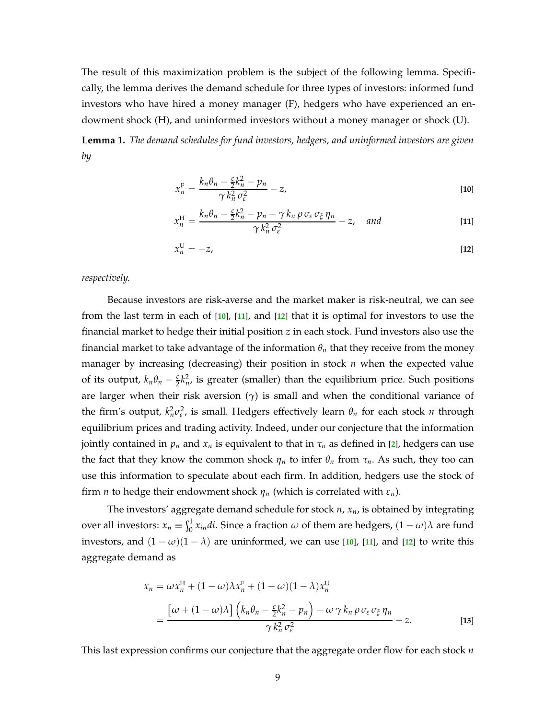The result of this maximization problem is the subject of the following lemma. Specifically, the lemma derives the demand schedule for three types of investors: informed fund investors who have hired a money manager (F), hedgers who have experienced an endowment shock (H), and uninformed investors without a money manager or shock (U).

<span id="page-9-3"></span>**Lemma 1.** *The demand schedules for fund investors, hedgers, and uninformed investors are given by*

<span id="page-9-0"></span>
$$
x_n^{\mathrm{F}} = \frac{k_n \theta_n - \frac{c}{2} k_n^2 - p_n}{\gamma k_n^2 \sigma_\varepsilon^2} - z,\tag{10}
$$

<span id="page-9-1"></span>
$$
x_n^H = \frac{k_n \theta_n - \frac{c}{2} k_n^2 - p_n - \gamma k_n \rho \sigma_{\varepsilon} \sigma_{\xi} \eta_n}{\gamma k_n^2 \sigma_{\varepsilon}^2} - z, \quad \text{and} \tag{11}
$$

<span id="page-9-2"></span>
$$
x_n^{\mathrm{U}} = -z,\tag{12}
$$

### *respectively.*

Because investors are risk-averse and the market maker is risk-neutral, we can see from the last term in each of [**[10](#page-9-0)**], [**[11](#page-9-1)**], and [**[12](#page-9-2)**] that it is optimal for investors to use the financial market to hedge their initial position *z* in each stock. Fund investors also use the financial market to take advantage of the information *θ<sup>n</sup>* that they receive from the money manager by increasing (decreasing) their position in stock *n* when the expected value of its output,  $k_n\theta_n - \frac{c}{2}k_n^2$ , is greater (smaller) than the equilibrium price. Such positions are larger when their risk aversion  $(\gamma)$  is small and when the conditional variance of the firm's output,  $k_n^2 \sigma_{\varepsilon}^2$ , is small. Hedgers effectively learn  $\theta_n$  for each stock *n* through equilibrium prices and trading activity. Indeed, under our conjecture that the information jointly contained in  $p_n$  and  $x_n$  is equivalent to that in  $\tau_n$  as defined in [[2](#page-7-2)], hedgers can use the fact that they know the common shock  $\eta_n$  to infer  $\theta_n$  from  $\tau_n$ . As such, they too can use this information to speculate about each firm. In addition, hedgers use the stock of firm *n* to hedge their endowment shock  $\eta_n$  (which is correlated with  $\varepsilon_n$ ).

The investors' aggregate demand schedule for stock *n*, *xn*, is obtained by integrating over all investors:  $x_n \equiv \int_0^1 x_{in} di$ . Since a fraction  $\omega$  of them are hedgers,  $(1 - \omega)\lambda$  are fund investors, and  $(1 - \omega)(1 - \lambda)$  are uninformed, we can use [[10](#page-9-0)], [[11](#page-9-1)], and [[12](#page-9-2)] to write this aggregate demand as

<span id="page-9-4"></span>
$$
x_n = \omega x_n^H + (1 - \omega)\lambda x_n^F + (1 - \omega)(1 - \lambda)x_n^U
$$
  
= 
$$
\frac{\left[\omega + (1 - \omega)\lambda\right] \left(k_n \theta_n - \frac{\epsilon}{2} k_n^2 - p_n\right) - \omega \gamma k_n \rho \sigma_{\epsilon} \sigma_{\xi} \eta_n}{\gamma k_n^2 \sigma_{\epsilon}^2}
$$
 [13]

This last expression confirms our conjecture that the aggregate order flow for each stock *n*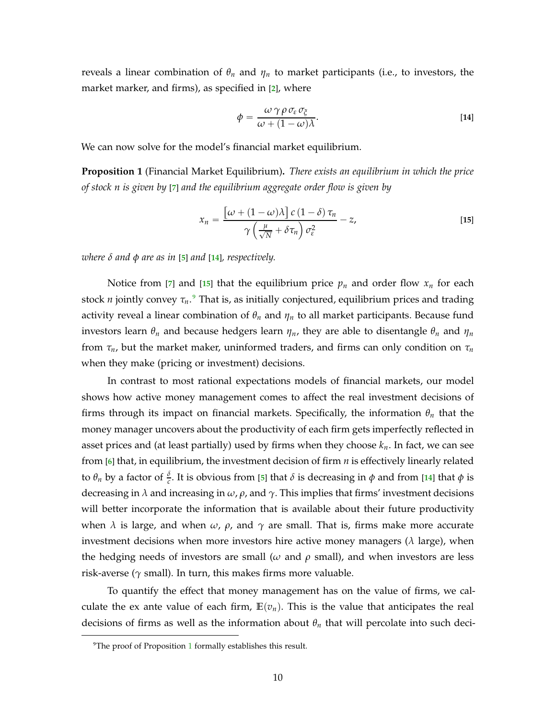reveals a linear combination of  $\theta_n$  and  $\eta_n$  to market participants (i.e., to investors, the market marker, and firms), as specified in [**[2](#page-7-2)**], where

<span id="page-10-1"></span><span id="page-10-0"></span>
$$
\phi = \frac{\omega \, \gamma \, \rho \, \sigma_{\varepsilon} \, \sigma_{\xi}}{\omega + (1 - \omega) \lambda}.
$$

We can now solve for the model's financial market equilibrium.

<span id="page-10-3"></span>**Proposition 1** (Financial Market Equilibrium)**.** *There exists an equilibrium in which the price of stock n is given by* [**[7](#page-8-3)**] *and the equilibrium aggregate order flow is given by*

$$
x_n = \frac{\left[\omega + (1 - \omega)\lambda\right]c\left(1 - \delta\right)\tau_n}{\gamma\left(\frac{\mu}{\sqrt{N}} + \delta\tau_n\right)\sigma_{\varepsilon}^2} - z,
$$
\n[15]

*where δ and φ are as in* [**[5](#page-8-4)**] *and* [**[14](#page-10-0)**]*, respectively.*

Notice from [[7](#page-8-3)] and [[15](#page-10-1)] that the equilibrium price  $p_n$  and order flow  $x_n$  for each stock *n* jointly convey  $\tau_n$ .<sup>[9](#page-10-2)</sup> That is, as initially conjectured, equilibrium prices and trading activity reveal a linear combination of  $\theta_n$  and  $\eta_n$  to all market participants. Because fund investors learn  $\theta_n$  and because hedgers learn  $\eta_n$ , they are able to disentangle  $\theta_n$  and  $\eta_n$ from *τn*, but the market maker, uninformed traders, and firms can only condition on *τ<sup>n</sup>* when they make (pricing or investment) decisions.

In contrast to most rational expectations models of financial markets, our model shows how active money management comes to affect the real investment decisions of firms through its impact on financial markets. Specifically, the information *θ<sup>n</sup>* that the money manager uncovers about the productivity of each firm gets imperfectly reflected in asset prices and (at least partially) used by firms when they choose  $k_n$ . In fact, we can see from [**[6](#page-8-2)**] that, in equilibrium, the investment decision of firm *n* is effectively linearly related to  $\theta_n$  by a factor of  $\frac{\delta}{c}$ . It is obvious from [[5](#page-8-4)] that  $\delta$  is decreasing in  $\phi$  and from [[14](#page-10-0)] that  $\phi$  is decreasing in *λ* and increasing in *ω*, *ρ*, and *γ*. This implies that firms' investment decisions will better incorporate the information that is available about their future productivity when  $\lambda$  is large, and when  $\omega$ ,  $\rho$ , and  $\gamma$  are small. That is, firms make more accurate investment decisions when more investors hire active money managers ( $\lambda$  large), when the hedging needs of investors are small (*ω* and *ρ* small), and when investors are less risk-averse ( $\gamma$  small). In turn, this makes firms more valuable.

To quantify the effect that money management has on the value of firms, we calculate the ex ante value of each firm,  $E(v_n)$ . This is the value that anticipates the real decisions of firms as well as the information about *θ<sup>n</sup>* that will percolate into such deci-

<span id="page-10-2"></span><sup>&</sup>lt;sup>9</sup>The proof of Proposition [1](#page-10-3) formally establishes this result.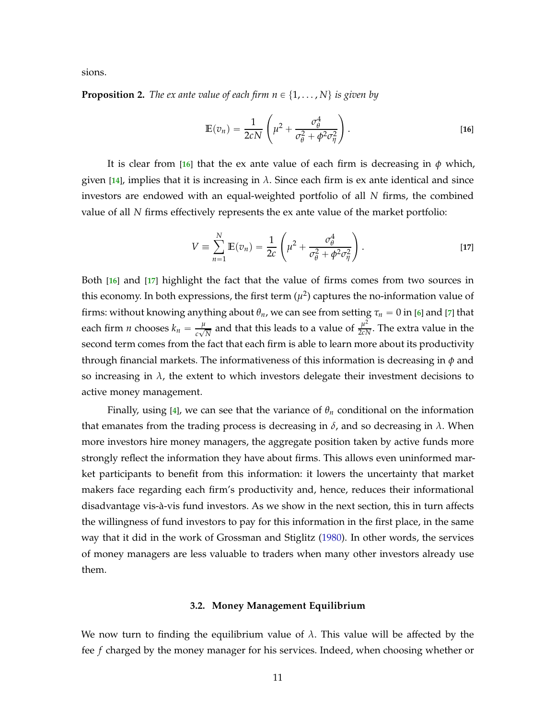<span id="page-11-4"></span>sions.

<span id="page-11-3"></span>**Proposition 2.** *The ex ante value of each firm*  $n \in \{1, \ldots, N\}$  *is given by* 

<span id="page-11-0"></span>
$$
\mathbb{E}(v_n) = \frac{1}{2cN} \left( \mu^2 + \frac{\sigma_\theta^4}{\sigma_\theta^2 + \phi^2 \sigma_\eta^2} \right).
$$
 [16]

It is clear from [**[16](#page-11-0)**] that the ex ante value of each firm is decreasing in *φ* which, given [[14](#page-10-0)], implies that it is increasing in  $\lambda$ . Since each firm is ex ante identical and since investors are endowed with an equal-weighted portfolio of all *N* firms, the combined value of all *N* firms effectively represents the ex ante value of the market portfolio:

<span id="page-11-1"></span>
$$
V = \sum_{n=1}^{N} \mathbb{E}(v_n) = \frac{1}{2c} \left( \mu^2 + \frac{\sigma_\theta^4}{\sigma_\theta^2 + \phi^2 \sigma_\eta^2} \right).
$$
 [17]

Both [**[16](#page-11-0)**] and [**[17](#page-11-1)**] highlight the fact that the value of firms comes from two sources in this economy. In both expressions, the first term  $(\mu^2)$  captures the no-information value of firms: without knowing anything about  $\theta_n$ , we can see from setting  $\tau_n = 0$  in [[6](#page-8-2)] and [[7](#page-8-3)] that each firm *n* chooses  $k_n = \frac{\mu}{c\sqrt{n}}$  $\frac{\mu}{c\sqrt{N}}$  and that this leads to a value of  $\frac{\mu^2}{2cN}$ . The extra value in the second term comes from the fact that each firm is able to learn more about its productivity through financial markets. The informativeness of this information is decreasing in *φ* and so increasing in  $\lambda$ , the extent to which investors delegate their investment decisions to active money management.

Finally, using [[4](#page-8-5)], we can see that the variance of  $\theta_n$  conditional on the information that emanates from the trading process is decreasing in  $\delta$ , and so decreasing in  $\lambda$ . When more investors hire money managers, the aggregate position taken by active funds more strongly reflect the information they have about firms. This allows even uninformed market participants to benefit from this information: it lowers the uncertainty that market makers face regarding each firm's productivity and, hence, reduces their informational disadvantage vis-à-vis fund investors. As we show in the next section, this in turn affects the willingness of fund investors to pay for this information in the first place, in the same way that it did in the work of Grossman and Stiglitz [\(1980](#page-44-9)). In other words, the services of money managers are less valuable to traders when many other investors already use them.

#### **3.2. Money Management Equilibrium**

<span id="page-11-2"></span>We now turn to finding the equilibrium value of  $\lambda$ . This value will be affected by the fee *f* charged by the money manager for his services. Indeed, when choosing whether or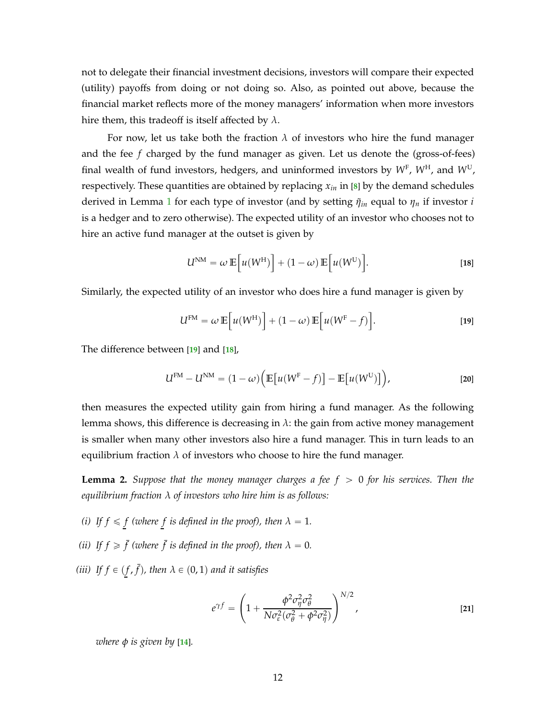not to delegate their financial investment decisions, investors will compare their expected (utility) payoffs from doing or not doing so. Also, as pointed out above, because the financial market reflects more of the money managers' information when more investors hire them, this tradeoff is itself affected by *λ*.

For now, let us take both the fraction  $\lambda$  of investors who hire the fund manager and the fee *f* charged by the fund manager as given. Let us denote the (gross-of-fees) final wealth of fund investors, hedgers, and uninformed investors by *W*<sup>F</sup> , *W*<sup>H</sup>, and *W*<sup>U</sup>, respectively. These quantities are obtained by replacing *xin* in [**[8](#page-8-6)**] by the demand schedules derived in Lemma [1](#page-9-3) for each type of investor (and by setting  $\tilde{\eta}_{in}$  equal to  $\eta_n$  if investor *i* is a hedger and to zero otherwise). The expected utility of an investor who chooses not to hire an active fund manager at the outset is given by

<span id="page-12-1"></span>
$$
U^{\text{NM}} = \omega \mathbb{E}\Big[u(W^{\text{H}})\Big] + (1 - \omega) \mathbb{E}\Big[u(W^{\text{U}})\Big].
$$
 [18]

Similarly, the expected utility of an investor who does hire a fund manager is given by

<span id="page-12-4"></span><span id="page-12-0"></span>
$$
U^{\text{FM}} = \omega \mathbb{E}\Big[u(W^{\text{H}})\Big] + (1 - \omega) \mathbb{E}\Big[u(W^{\text{F}} - f)\Big].
$$
 [19]

The difference between [**[19](#page-12-0)**] and [**[18](#page-12-1)**],

$$
U^{\text{FM}} - U^{\text{NM}} = (1 - \omega) \Big( \mathbb{E} \big[ u(W^{\text{F}} - f) \big] - \mathbb{E} \big[ u(W^{\text{U}}) \big] \Big), \tag{20}
$$

then measures the expected utility gain from hiring a fund manager. As the following lemma shows, this difference is decreasing in  $\lambda$ : the gain from active money management is smaller when many other investors also hire a fund manager. This in turn leads to an equilibrium fraction  $\lambda$  of investors who choose to hire the fund manager.

<span id="page-12-3"></span>**Lemma 2.** Suppose that the money manager charges a fee  $f > 0$  for his services. Then the *equilibrium fraction λ of investors who hire him is as follows:*

- *(i)* If  $f \le f$  *(where f is defined in the proof), then*  $\lambda = 1$ *.*
- *(ii)* If  $f \ge \overline{f}$  (where  $\overline{f}$  is defined in the proof), then  $\lambda = 0$ .

(*iii*) If  $f \in (\underline{f}, \overline{f})$ , then  $\lambda \in (0, 1)$  and it satisfies

<span id="page-12-2"></span>
$$
e^{\gamma f} = \left(1 + \frac{\phi^2 \sigma_\eta^2 \sigma_\theta^2}{N \sigma_\varepsilon^2 (\sigma_\theta^2 + \phi^2 \sigma_\eta^2)}\right)^{N/2},
$$
\n<sup>(21)</sup>

*where φ is given by* [**[14](#page-10-0)**]*.*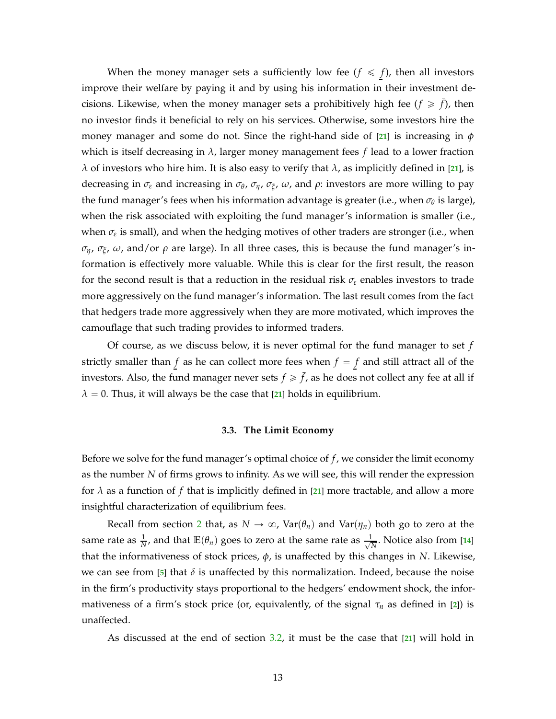When the money manager sets a sufficiently low fee  $(f \leq f)$ , then all investors improve their welfare by paying it and by using his information in their investment decisions. Likewise, when the money manager sets a prohibitively high fee  $(f \geq \bar{f})$ , then no investor finds it beneficial to rely on his services. Otherwise, some investors hire the money manager and some do not. Since the right-hand side of [[21](#page-12-2)] is increasing in  $\phi$ which is itself decreasing in *λ*, larger money management fees *f* lead to a lower fraction *λ* of investors who hire him. It is also easy to verify that *λ*, as implicitly defined in [**[21](#page-12-2)**], is decreasing in *σ<sup>ε</sup>* and increasing in *σ<sup>θ</sup>* , *ση*, *σ<sup>ξ</sup>* , *ω*, and *ρ*: investors are more willing to pay the fund manager's fees when his information advantage is greater (i.e., when  $\sigma_\theta$  is large), when the risk associated with exploiting the fund manager's information is smaller (i.e., when  $\sigma_{\varepsilon}$  is small), and when the hedging motives of other traders are stronger (i.e., when *ση*, *σ<sup>ξ</sup>* , *ω*, and/or *ρ* are large). In all three cases, this is because the fund manager's information is effectively more valuable. While this is clear for the first result, the reason for the second result is that a reduction in the residual risk  $\sigma_{\varepsilon}$  enables investors to trade more aggressively on the fund manager's information. The last result comes from the fact that hedgers trade more aggressively when they are more motivated, which improves the camouflage that such trading provides to informed traders.

Of course, as we discuss below, it is never optimal for the fund manager to set *f* strictly smaller than  $f$  as he can collect more fees when  $f = f$  and still attract all of the investors. Also, the fund manager never sets  $f \geqslant \bar{f}$ , as he does not collect any fee at all if  $\lambda = 0$ . Thus, it will always be the case that [[21](#page-12-2)] holds in equilibrium.

## **3.3. The Limit Economy**

Before we solve for the fund manager's optimal choice of *f* , we consider the limit economy as the number *N* of firms grows to infinity. As we will see, this will render the expression for *λ* as a function of *f* that is implicitly defined in [**[21](#page-12-2)**] more tractable, and allow a more insightful characterization of equilibrium fees.

Recall from section [2](#page-4-0) that, as  $N \to \infty$ , Var $(\theta_n)$  and Var $(\eta_n)$  both go to zero at the same rate as  $\frac{1}{N}$ , and that  $\mathbb{E}(\theta_n)$  goes to zero at the same rate as  $\frac{1}{\sqrt{N}}$  $\frac{1}{N}$ . Notice also from [[14](#page-10-0)] that the informativeness of stock prices, *φ*, is unaffected by this changes in *N*. Likewise, we can see from [**[5](#page-8-4)**] that *δ* is unaffected by this normalization. Indeed, because the noise in the firm's productivity stays proportional to the hedgers' endowment shock, the informativeness of a firm's stock price (or, equivalently, of the signal  $\tau_n$  as defined in [[2](#page-7-2)]) is unaffected.

As discussed at the end of section [3.2,](#page-11-2) it must be the case that [**[21](#page-12-2)**] will hold in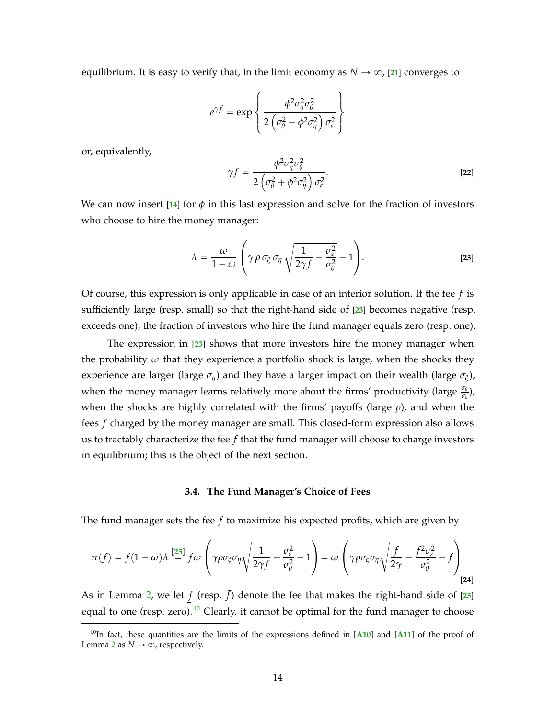equilibrium. It is easy to verify that, in the limit economy as  $N \to \infty$ , [[21](#page-12-2)] converges to

$$
e^{\gamma f} = \exp \left\{ \frac{\phi^2 \sigma_\eta^2 \sigma_\theta^2}{2 \left( \sigma_\theta^2 + \phi^2 \sigma_\eta^2 \right) \sigma_\epsilon^2} \right\}
$$

or, equivalently,

<span id="page-14-4"></span><span id="page-14-0"></span>
$$
\gamma f = \frac{\phi^2 \sigma_\eta^2 \sigma_\theta^2}{2 \left(\sigma_\theta^2 + \phi^2 \sigma_\eta^2\right) \sigma_\varepsilon^2}.
$$
\n<sup>(22)</sup>

We can now insert  $[14]$  $[14]$  $[14]$  for  $\phi$  in this last expression and solve for the fraction of investors who choose to hire the money manager:

$$
\lambda = \frac{\omega}{1 - \omega} \left( \gamma \rho \sigma_{\xi} \sigma_{\eta} \sqrt{\frac{1}{2 \gamma f} - \frac{\sigma_{\varepsilon}^2}{\sigma_{\theta}^2}} - 1 \right).
$$
 [23]

Of course, this expression is only applicable in case of an interior solution. If the fee *f* is sufficiently large (resp. small) so that the right-hand side of [**[23](#page-14-0)**] becomes negative (resp. exceeds one), the fraction of investors who hire the fund manager equals zero (resp. one).

The expression in [**[23](#page-14-0)**] shows that more investors hire the money manager when the probability *ω* that they experience a portfolio shock is large, when the shocks they experience are larger (large *ση*) and they have a larger impact on their wealth (large *σ<sup>ξ</sup>* ), when the money manager learns relatively more about the firms' productivity (large  $\frac{\sigma_{\theta}}{\sigma_{\epsilon}}$ ), when the shocks are highly correlated with the firms' payoffs (large *ρ*), and when the fees *f* charged by the money manager are small. This closed-form expression also allows us to tractably characterize the fee *f* that the fund manager will choose to charge investors in equilibrium; this is the object of the next section.

## <span id="page-14-2"></span>**3.4. The Fund Manager's Choice of Fees**

<span id="page-14-3"></span>The fund manager sets the fee *f* to maximize his expected profits, which are given by

$$
\pi(f) = f(1-\omega)\lambda \stackrel{[23]}{=} f\omega \left(\gamma \rho \sigma_{\xi} \sigma_{\eta} \sqrt{\frac{1}{2\gamma f} - \frac{\sigma_{\varepsilon}^2}{\sigma_{\theta}^2}} - 1\right) = \omega \left(\gamma \rho \sigma_{\xi} \sigma_{\eta} \sqrt{\frac{f}{2\gamma} - \frac{f^2 \sigma_{\varepsilon}^2}{\sigma_{\theta}^2}} - f\right).
$$
\n[24]

As in Lemma [2,](#page-12-3) we let  $f$  (resp.  $\bar{f}$ ) denote the fee that makes the right-hand side of [[23](#page-14-0)] equal to one (resp. zero).<sup>[10](#page-14-1)</sup> Clearly, it cannot be optimal for the fund manager to choose

<span id="page-14-1"></span><sup>&</sup>lt;sup>10</sup>In fact, these quantities are the limits of the expressions defined in [[A10](#page-30-0)] and [[A11](#page-30-1)] of the proof of Lemma [2](#page-12-3) as  $N \rightarrow \infty$ , respectively.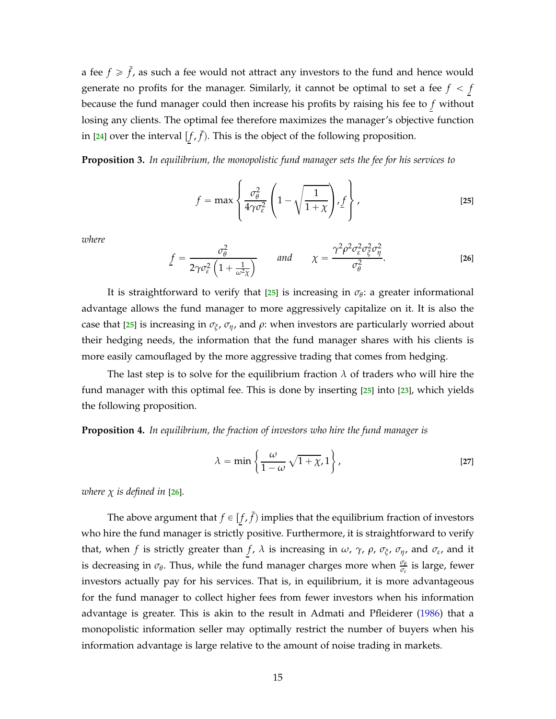<span id="page-15-6"></span>a fee  $f \geq \bar{f}$ , as such a fee would not attract any investors to the fund and hence would generate no profits for the manager. Similarly, it cannot be optimal to set a fee  $f < f$ because the fund manager could then increase his profits by raising his fee to *f* without losing any clients. The optimal fee therefore maximizes the manager's objective function in [[24](#page-14-2)] over the interval  $\left[\underline{f}, \overline{f}\right)$ . This is the object of the following proposition.

<span id="page-15-4"></span>**Proposition 3.** *In equilibrium, the monopolistic fund manager sets the fee for his services to*

<span id="page-15-2"></span><span id="page-15-1"></span>
$$
f = \max \left\{ \frac{\sigma_{\theta}^2}{4\gamma \sigma_{\epsilon}^2} \left( 1 - \sqrt{\frac{1}{1 + \chi}} \right) \cdot f \right\},
$$
 [25]

*where*

$$
\underline{f} = \frac{\sigma_{\theta}^{2}}{2\gamma\sigma_{\varepsilon}^{2}\left(1 + \frac{1}{\omega^{2}\chi}\right)} \quad \text{and} \quad \chi = \frac{\gamma^{2}\rho^{2}\sigma_{\varepsilon}^{2}\sigma_{\zeta}^{2}\sigma_{\eta}^{2}}{\sigma_{\theta}^{2}}.
$$

It is straightforward to verify that [**[25](#page-15-1)**] is increasing in *σ<sup>θ</sup>* : a greater informational advantage allows the fund manager to more aggressively capitalize on it. It is also the case that [**[25](#page-15-1)**] is increasing in *σ<sup>ξ</sup>* , *ση*, and *ρ*: when investors are particularly worried about their hedging needs, the information that the fund manager shares with his clients is more easily camouflaged by the more aggressive trading that comes from hedging.

The last step is to solve for the equilibrium fraction  $\lambda$  of traders who will hire the fund manager with this optimal fee. This is done by inserting [**[25](#page-15-1)**] into [**[23](#page-14-0)**], which yields the following proposition.

<span id="page-15-5"></span>**Proposition 4.** *In equilibrium, the fraction of investors who hire the fund manager is*

<span id="page-15-3"></span>
$$
\lambda = \min\left\{\frac{\omega}{1-\omega}\sqrt{1+\chi}, 1\right\},\tag{27}
$$

*where*  $\chi$  *is defined in* [[26](#page-15-2)]*.* 

<span id="page-15-0"></span>The above argument that  $f \in [f, \bar{f})$  implies that the equilibrium fraction of investors who hire the fund manager is strictly positive. Furthermore, it is straightforward to verify that, when *f* is strictly greater than *f*,  $λ$  is increasing in  $ω$ ,  $γ$ ,  $ρ$ ,  $σ_ξ$ ,  $σ_η$ , and  $σ_ε$ , and it is decreasing in  $\sigma_{\theta}$ . Thus, while the fund manager charges more when  $\frac{\sigma_{\theta}}{\sigma_{\epsilon}}$  is large, fewer investors actually pay for his services. That is, in equilibrium, it is more advantageous for the fund manager to collect higher fees from fewer investors when his information advantage is greater. This is akin to the result in Admati and Pfleiderer [\(1986](#page-42-6)) that a monopolistic information seller may optimally restrict the number of buyers when his information advantage is large relative to the amount of noise trading in markets.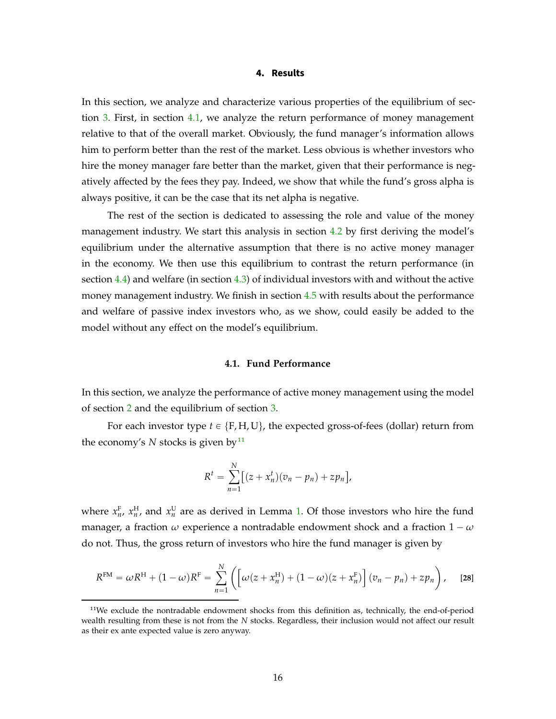### **4. Results**

In this section, we analyze and characterize various properties of the equilibrium of section [3.](#page-7-0) First, in section [4.1,](#page-16-0) we analyze the return performance of money management relative to that of the overall market. Obviously, the fund manager's information allows him to perform better than the rest of the market. Less obvious is whether investors who hire the money manager fare better than the market, given that their performance is negatively affected by the fees they pay. Indeed, we show that while the fund's gross alpha is always positive, it can be the case that its net alpha is negative.

The rest of the section is dedicated to assessing the role and value of the money management industry. We start this analysis in section [4.2](#page-18-0) by first deriving the model's equilibrium under the alternative assumption that there is no active money manager in the economy. We then use this equilibrium to contrast the return performance (in section [4.4\)](#page-23-0) and welfare (in section [4.3\)](#page-20-0) of individual investors with and without the active money management industry. We finish in section [4.5](#page-24-0) with results about the performance and welfare of passive index investors who, as we show, could easily be added to the model without any effect on the model's equilibrium.

## **4.1. Fund Performance**

<span id="page-16-0"></span>In this section, we analyze the performance of active money management using the model of section [2](#page-4-0) and the equilibrium of section [3.](#page-7-0)

For each investor type  $t \in \{F, H, U\}$ , the expected gross-of-fees (dollar) return from the economy's  $N$  stocks is given by<sup>[11](#page-16-1)</sup>

<span id="page-16-2"></span>
$$
R^{t} = \sum_{n=1}^{N} [(z + x_{n}^{t})(v_{n} - p_{n}) + z p_{n}],
$$

where  $x_n^F$ ,  $x_n^H$ , and  $x_n^U$  are as derived in Lemma [1.](#page-9-3) Of those investors who hire the fund manager, a fraction  $\omega$  experience a nontradable endowment shock and a fraction  $1 - \omega$ do not. Thus, the gross return of investors who hire the fund manager is given by

$$
R^{FM} = \omega R^{H} + (1 - \omega)R^{F} = \sum_{n=1}^{N} \left( \left[ \omega(z + x_{n}^{H}) + (1 - \omega)(z + x_{n}^{F}) \right] (v_{n} - p_{n}) + z p_{n} \right), \quad [28]
$$

<span id="page-16-1"></span><sup>&</sup>lt;sup>11</sup>We exclude the nontradable endowment shocks from this definition as, technically, the end-of-period wealth resulting from these is not from the *N* stocks. Regardless, their inclusion would not affect our result as their ex ante expected value is zero anyway.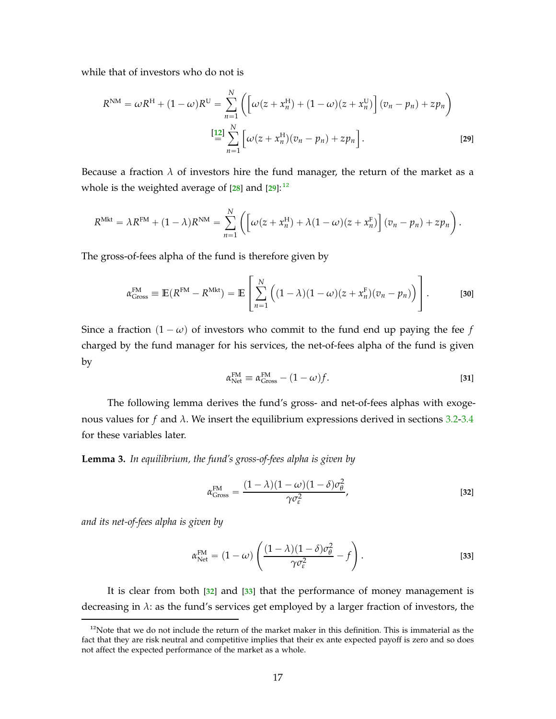while that of investors who do not is

$$
R^{NM} = \omega R^{H} + (1 - \omega) R^{U} = \sum_{n=1}^{N} \left( \left[ \omega (z + x_{n}^{H}) + (1 - \omega) (z + x_{n}^{U}) \right] (v_{n} - p_{n}) + z p_{n} \right)
$$

$$
\stackrel{\left[ \frac{12}{2} \right] \sum_{n=1}^{N} \left[ \omega (z + x_{n}^{H}) (v_{n} - p_{n}) + z p_{n} \right].} [29]
$$

Because a fraction  $\lambda$  of investors hire the fund manager, the return of the market as a whole is the weighted average of  $[28]$  $[28]$  $[28]$  and  $[29]$  $[29]$  $[29]$ :<sup>[12](#page-17-1)</sup>

$$
R^{\text{Mkt}} = \lambda R^{\text{FM}} + (1 - \lambda) R^{\text{NM}} = \sum_{n=1}^{N} \left( \left[ \omega(z + x_n^{\text{H}}) + \lambda (1 - \omega)(z + x_n^{\text{F}}) \right] (v_n - p_n) + z p_n \right).
$$

The gross-of-fees alpha of the fund is therefore given by

$$
\alpha_{\text{Gross}}^{\text{FM}} \equiv \mathbb{E}(R^{\text{FM}} - R^{\text{Mkt}}) = \mathbb{E}\left[\sum_{n=1}^{N} \left((1-\lambda)(1-\omega)(z + x_n^{\text{F}})(v_n - p_n)\right)\right].
$$
 [30]

Since a fraction  $(1 - \omega)$  of investors who commit to the fund end up paying the fee *f* charged by the fund manager for his services, the net-of-fees alpha of the fund is given by

<span id="page-17-6"></span><span id="page-17-5"></span><span id="page-17-0"></span>
$$
\alpha_{\text{Net}}^{\text{FM}} \equiv \alpha_{\text{Gross}}^{\text{FM}} - (1 - \omega)f. \tag{31}
$$

The following lemma derives the fund's gross- and net-of-fees alphas with exogenous values for *f* and  $λ$ . We insert the equilibrium expressions derived in sections  $3.2-3.4$  $3.2-3.4$ for these variables later.

<span id="page-17-4"></span>**Lemma 3.** *In equilibrium, the fund's gross-of-fees alpha is given by*

<span id="page-17-3"></span><span id="page-17-2"></span>
$$
\alpha_{\text{Gross}}^{\text{FM}} = \frac{(1 - \lambda)(1 - \omega)(1 - \delta)\sigma_{\theta}^2}{\gamma \sigma_{\epsilon}^2},
$$
\n[32]

*and its net-of-fees alpha is given by*

$$
\alpha_{\text{Net}}^{\text{FM}} = (1 - \omega) \left( \frac{(1 - \lambda)(1 - \delta)\sigma_{\theta}^2}{\gamma \sigma_{\varepsilon}^2} - f \right).
$$
 [33]

It is clear from both [**[32](#page-17-2)**] and [**[33](#page-17-3)**] that the performance of money management is decreasing in  $\lambda$ : as the fund's services get employed by a larger fraction of investors, the

<span id="page-17-1"></span> $12$ Note that we do not include the return of the market maker in this definition. This is immaterial as the fact that they are risk neutral and competitive implies that their ex ante expected payoff is zero and so does not affect the expected performance of the market as a whole.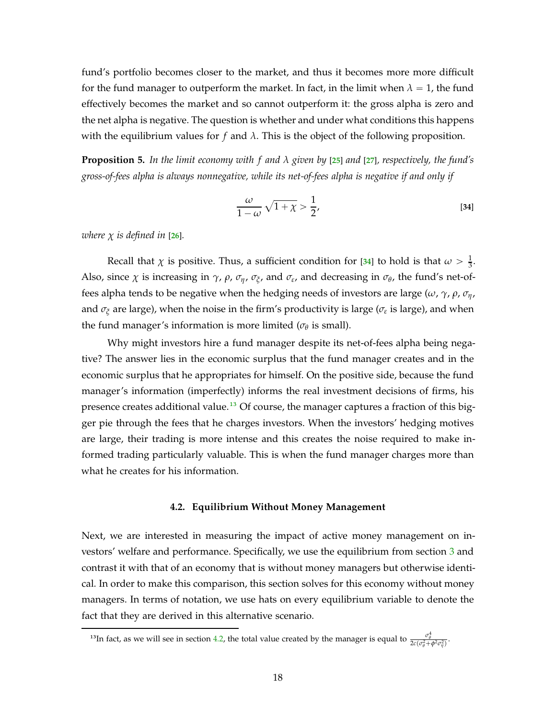fund's portfolio becomes closer to the market, and thus it becomes more more difficult for the fund manager to outperform the market. In fact, in the limit when  $\lambda = 1$ , the fund effectively becomes the market and so cannot outperform it: the gross alpha is zero and the net alpha is negative. The question is whether and under what conditions this happens with the equilibrium values for  $f$  and  $\lambda$ . This is the object of the following proposition.

<span id="page-18-3"></span>**Proposition 5.** *In the limit economy with f and λ given by* [**[25](#page-15-1)**] *and* [**[27](#page-15-3)**]*, respectively, the fund's gross-of-fees alpha is always nonnegative, while its net-of-fees alpha is negative if and only if*

<span id="page-18-1"></span>
$$
\frac{\omega}{1-\omega}\sqrt{1+\chi} > \frac{1}{2},\tag{34}
$$

*where*  $\chi$  *is defined in* [[26](#page-15-2)].

Recall that  $\chi$  is positive. Thus, a sufficient condition for [[34](#page-18-1)] to hold is that  $\omega > \frac{1}{3}$ . Also, since  $\chi$  is increasing in  $\gamma$ ,  $\rho$ ,  $\sigma_{\eta}$ ,  $\sigma_{\xi}$ , and  $\sigma_{\varepsilon}$ , and decreasing in  $\sigma_{\theta}$ , the fund's net-offees alpha tends to be negative when the hedging needs of investors are large (*ω*, *γ*, *ρ*, *ση*, and  $\sigma_{\xi}$  are large), when the noise in the firm's productivity is large ( $\sigma_{\varepsilon}$  is large), and when the fund manager's information is more limited ( $\sigma_{\theta}$  is small).

Why might investors hire a fund manager despite its net-of-fees alpha being negative? The answer lies in the economic surplus that the fund manager creates and in the economic surplus that he appropriates for himself. On the positive side, because the fund manager's information (imperfectly) informs the real investment decisions of firms, his presence creates additional value.<sup>[13](#page-18-2)</sup> Of course, the manager captures a fraction of this bigger pie through the fees that he charges investors. When the investors' hedging motives are large, their trading is more intense and this creates the noise required to make informed trading particularly valuable. This is when the fund manager charges more than what he creates for his information.

#### **4.2. Equilibrium Without Money Management**

<span id="page-18-0"></span>Next, we are interested in measuring the impact of active money management on in-vestors' welfare and performance. Specifically, we use the equilibrium from section [3](#page-7-0) and contrast it with that of an economy that is without money managers but otherwise identical. In order to make this comparison, this section solves for this economy without money managers. In terms of notation, we use hats on every equilibrium variable to denote the fact that they are derived in this alternative scenario.

<span id="page-18-2"></span><sup>&</sup>lt;sup>13</sup>In fact, as we will see in section [4.2,](#page-18-0) the total value created by the manager is equal to  $\frac{\sigma_{\theta}^4}{2c(\sigma_{\theta}^2 + \phi^2 \sigma_{\eta}^2)}$ .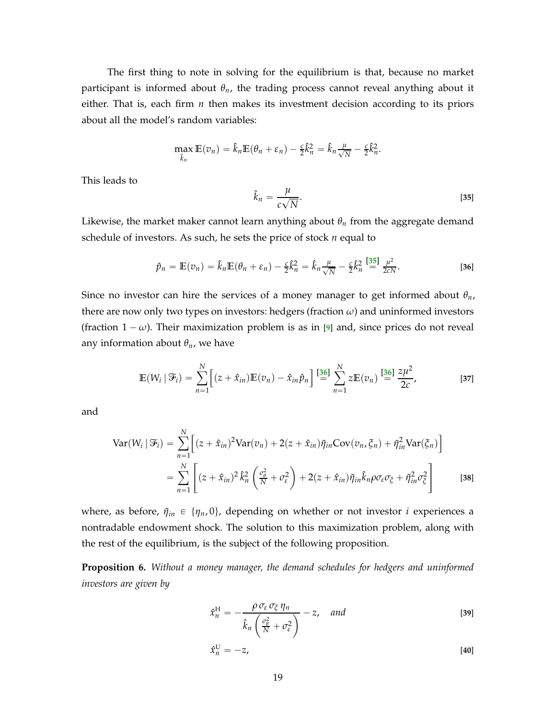The first thing to note in solving for the equilibrium is that, because no market participant is informed about *θn*, the trading process cannot reveal anything about it either. That is, each firm *n* then makes its investment decision according to its priors about all the model's random variables:

$$
\max_{\hat{k}_n} \mathbb{E}(\mathbf{v}_n) = \hat{k}_n \mathbb{E}(\theta_n + \varepsilon_n) - \frac{\varepsilon}{2} \hat{k}_n^2 = \hat{k}_n \frac{\mu}{\sqrt{N}} - \frac{\varepsilon}{2} \hat{k}_n^2.
$$

This leads to

<span id="page-19-3"></span><span id="page-19-1"></span><span id="page-19-0"></span>
$$
\hat{k}_n = \frac{\mu}{c\sqrt{N}}.\tag{35}
$$

Likewise, the market maker cannot learn anything about  $\theta_n$  from the aggregate demand schedule of investors. As such, he sets the price of stock *n* equal to

$$
\hat{p}_n = \mathbb{E}(v_n) = \hat{k}_n \mathbb{E}(\theta_n + \varepsilon_n) - \frac{c}{2} \hat{k}_n^2 = \hat{k}_n \frac{\mu}{\sqrt{N}} - \frac{c}{2} \hat{k}_n^2 \stackrel{\text{[35]}}{=} \frac{\mu^2}{2cN}.
$$

Since no investor can hire the services of a money manager to get informed about  $\theta_n$ , there are now only two types on investors: hedgers (fraction  $\omega$ ) and uninformed investors (fraction  $1 - \omega$ ). Their maximization problem is as in [[9](#page-8-7)] and, since prices do not reveal any information about  $\theta_n$ , we have

$$
\mathbb{E}(W_i \,|\, \mathcal{F}_i) = \sum_{n=1}^N \Big[ (z + \hat{x}_{in}) \mathbb{E}(v_n) - \hat{x}_{in} \hat{p}_n \Big] \stackrel{[36]}{=} \sum_{n=1}^N z \mathbb{E}(v_n) \stackrel{[36]}{=} \frac{z \mu^2}{2c},
$$
 [37]

and

$$
\text{Var}(W_i \mid \mathcal{F}_i) = \sum_{n=1}^N \left[ (z + \hat{x}_{in})^2 \text{Var}(v_n) + 2(z + \hat{x}_{in}) \tilde{\eta}_{in} \text{Cov}(v_n, \xi_n) + \tilde{\eta}_{in}^2 \text{Var}(\xi_n) \right]
$$
  
= 
$$
\sum_{n=1}^N \left[ (z + \hat{x}_{in})^2 \hat{k}_n^2 \left( \frac{\sigma_0^2}{N} + \sigma_\varepsilon^2 \right) + 2(z + \hat{x}_{in}) \tilde{\eta}_{in} \hat{k}_n \rho \sigma_\varepsilon \sigma_\xi + \tilde{\eta}_{in}^2 \sigma_\xi^2 \right]
$$
 [38]

where, as before,  $\tilde{\eta}_{in} \in \{\eta_n, 0\}$ , depending on whether or not investor *i* experiences a nontradable endowment shock. The solution to this maximization problem, along with the rest of the equilibrium, is the subject of the following proposition.

<span id="page-19-2"></span>**Proposition 6.** *Without a money manager, the demand schedules for hedgers and uninformed investors are given by*

<span id="page-19-5"></span><span id="page-19-4"></span>
$$
\hat{x}_n^{\rm H} = -\frac{\rho \,\sigma_{\varepsilon} \,\sigma_{\tilde{\zeta}} \,\eta_n}{\hat{k}_n \left(\frac{\sigma_{\theta}^2}{N} + \sigma_{\varepsilon}^2\right)} - z, \quad \text{and} \tag{39}
$$

<span id="page-19-6"></span>
$$
\hat{x}_n^{\mathrm{U}} = -z,\tag{40}
$$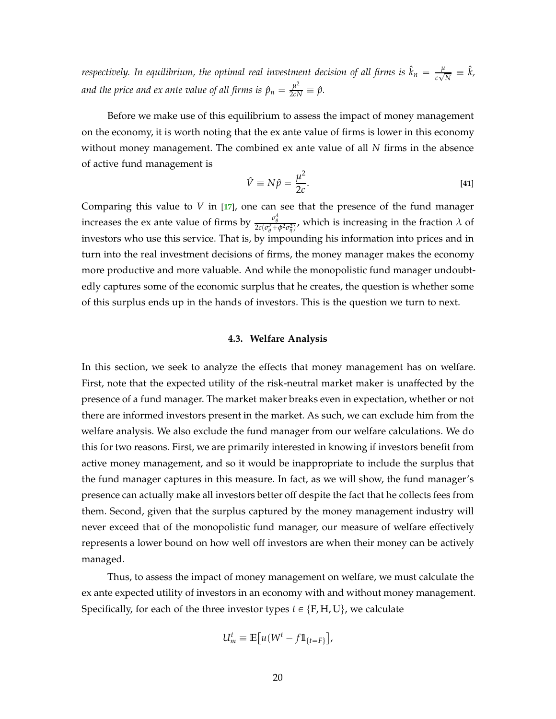respectively. In equilibrium, the optimal real investment decision of all firms is  $\hat{k}_n = \frac{\mu}{c \sqrt{2\pi}}$  $\frac{\mu}{c\sqrt{N}}\equiv \hat{k}$ , and the price and ex ante value of all firms is  $\hat{p}_n = \frac{\mu^2}{2cN} \equiv \hat{p}$ .

Before we make use of this equilibrium to assess the impact of money management on the economy, it is worth noting that the ex ante value of firms is lower in this economy without money management. The combined ex ante value of all *N* firms in the absence of active fund management is

<span id="page-20-1"></span>
$$
\hat{V} \equiv N\hat{p} = \frac{\mu^2}{2c}.
$$
\n<sup>(41)</sup>

Comparing this value to *V* in [**[17](#page-11-1)**], one can see that the presence of the fund manager increases the ex ante value of firms by  $\frac{\sigma_\theta^4}{2c(\sigma_\theta^2 + \phi^2 \sigma_\eta^2)}$ , which is increasing in the fraction *λ* of investors who use this service. That is, by impounding his information into prices and in turn into the real investment decisions of firms, the money manager makes the economy more productive and more valuable. And while the monopolistic fund manager undoubtedly captures some of the economic surplus that he creates, the question is whether some of this surplus ends up in the hands of investors. This is the question we turn to next.

## **4.3. Welfare Analysis**

<span id="page-20-0"></span>In this section, we seek to analyze the effects that money management has on welfare. First, note that the expected utility of the risk-neutral market maker is unaffected by the presence of a fund manager. The market maker breaks even in expectation, whether or not there are informed investors present in the market. As such, we can exclude him from the welfare analysis. We also exclude the fund manager from our welfare calculations. We do this for two reasons. First, we are primarily interested in knowing if investors benefit from active money management, and so it would be inappropriate to include the surplus that the fund manager captures in this measure. In fact, as we will show, the fund manager's presence can actually make all investors better off despite the fact that he collects fees from them. Second, given that the surplus captured by the money management industry will never exceed that of the monopolistic fund manager, our measure of welfare effectively represents a lower bound on how well off investors are when their money can be actively managed.

Thus, to assess the impact of money management on welfare, we must calculate the ex ante expected utility of investors in an economy with and without money management. Specifically, for each of the three investor types  $t \in \{F, H, U\}$ , we calculate

$$
U_m^t \equiv \mathbb{E}\big[u(W^t - f\mathbb{1}_{\{t = F\}}\big],
$$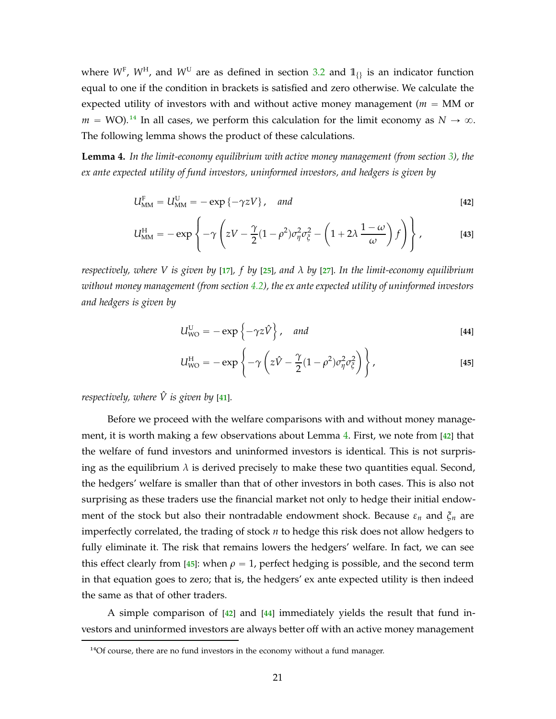where  $W<sup>F</sup>$ ,  $W<sup>H</sup>$ , and  $W<sup>U</sup>$  are as defined in section [3.2](#page-11-2) and  $1\!\!1_{\{\}}$  is an indicator function equal to one if the condition in brackets is satisfied and zero otherwise. We calculate the expected utility of investors with and without active money management ( $m = MM$  or  $m = WO$ ).<sup>[14](#page-21-0)</sup> In all cases, we perform this calculation for the limit economy as  $N \to \infty$ . The following lemma shows the product of these calculations.

<span id="page-21-1"></span>**Lemma 4.** *In the limit-economy equilibrium with active money management (from section [3\)](#page-7-0), the ex ante expected utility of fund investors, uninformed investors, and hedgers is given by*

$$
U_{\text{MM}}^{\text{F}} = U_{\text{MM}}^{\text{U}} = -\exp\left\{-\gamma z V\right\}, \quad \text{and} \tag{42}
$$

$$
U_{\text{MM}}^{\text{H}} = -\exp\left\{-\gamma \left( zV - \frac{\gamma}{2}(1-\rho^2)\sigma_{\eta}^2 \sigma_{\xi}^2 - \left(1 + 2\lambda \frac{1-\omega}{\omega}\right)f\right)\right\},\qquad\qquad\text{[43]}
$$

*respectively, where V is given by* [**[17](#page-11-1)**]*, f by* [**[25](#page-15-1)**]*, and λ by* [**[27](#page-15-3)**]*. In the limit-economy equilibrium without money management (from section [4.2\)](#page-18-0), the ex ante expected utility of uninformed investors and hedgers is given by*

<span id="page-21-5"></span><span id="page-21-4"></span><span id="page-21-2"></span>
$$
U_{\text{WO}}^{\text{U}} = -\exp\left\{-\gamma z \hat{V}\right\}, \quad \text{and} \tag{44}
$$

<span id="page-21-3"></span>
$$
U_{\text{WO}}^{\text{H}} = -\exp\left\{-\gamma \left(z\hat{V} - \frac{\gamma}{2}(1-\rho^2)\sigma_{\eta}^2 \sigma_{\xi}^2\right)\right\},\tag{45}
$$

*respectively, where*  $\hat{V}$  *is given by* [[41](#page-20-1)]*.* 

Before we proceed with the welfare comparisons with and without money management, it is worth making a few observations about Lemma [4.](#page-21-1) First, we note from [**[42](#page-21-2)**] that the welfare of fund investors and uninformed investors is identical. This is not surprising as the equilibrium  $\lambda$  is derived precisely to make these two quantities equal. Second, the hedgers' welfare is smaller than that of other investors in both cases. This is also not surprising as these traders use the financial market not only to hedge their initial endowment of the stock but also their nontradable endowment shock. Because *ε<sup>n</sup>* and *ξ<sup>n</sup>* are imperfectly correlated, the trading of stock *n* to hedge this risk does not allow hedgers to fully eliminate it. The risk that remains lowers the hedgers' welfare. In fact, we can see this effect clearly from [[45](#page-21-3)]: when  $\rho = 1$ , perfect hedging is possible, and the second term in that equation goes to zero; that is, the hedgers' ex ante expected utility is then indeed the same as that of other traders.

A simple comparison of [**[42](#page-21-2)**] and [**[44](#page-21-4)**] immediately yields the result that fund investors and uninformed investors are always better off with an active money management

<span id="page-21-0"></span><sup>&</sup>lt;sup>14</sup>Of course, there are no fund investors in the economy without a fund manager.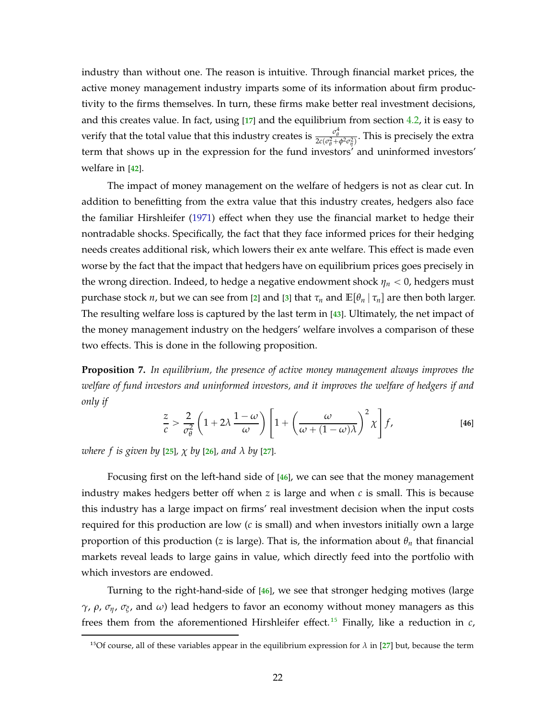<span id="page-22-3"></span>industry than without one. The reason is intuitive. Through financial market prices, the active money management industry imparts some of its information about firm productivity to the firms themselves. In turn, these firms make better real investment decisions, and this creates value. In fact, using [**[17](#page-11-1)**] and the equilibrium from section [4.2,](#page-18-0) it is easy to verify that the total value that this industry creates is  $\frac{\sigma_\theta^4}{2c(\sigma_\theta^2+\phi^2\sigma_\eta^2)}$ . This is precisely the extra term that shows up in the expression for the fund investors' and uninformed investors' welfare in [**[42](#page-21-2)**].

The impact of money management on the welfare of hedgers is not as clear cut. In addition to benefitting from the extra value that this industry creates, hedgers also face the familiar Hirshleifer [\(1971](#page-44-17)) effect when they use the financial market to hedge their nontradable shocks. Specifically, the fact that they face informed prices for their hedging needs creates additional risk, which lowers their ex ante welfare. This effect is made even worse by the fact that the impact that hedgers have on equilibrium prices goes precisely in the wrong direction. Indeed, to hedge a negative endowment shock  $\eta_n < 0$ , hedgers must purchase stock *n*, but we can see from [[2](#page-7-2)] and [[3](#page-8-1)] that  $\tau_n$  and  $\mathbb{E}[\theta_n | \tau_n]$  are then both larger. The resulting welfare loss is captured by the last term in [**[43](#page-21-5)**]. Ultimately, the net impact of the money management industry on the hedgers' welfare involves a comparison of these two effects. This is done in the following proposition.

<span id="page-22-2"></span>**Proposition 7.** *In equilibrium, the presence of active money management always improves the welfare of fund investors and uninformed investors, and it improves the welfare of hedgers if and only if*

<span id="page-22-0"></span>
$$
\frac{z}{c} > \frac{2}{\sigma_{\theta}^{2}} \left( 1 + 2\lambda \frac{1 - \omega}{\omega} \right) \left[ 1 + \left( \frac{\omega}{\omega + (1 - \omega)\lambda} \right)^{2} \chi \right] f, \tag{46}
$$

*where f is given by* [**[25](#page-15-1)**]*, χ by* [**[26](#page-15-2)**]*, and λ by* [**[27](#page-15-3)**]*.*

Focusing first on the left-hand side of [**[46](#page-22-0)**], we can see that the money management industry makes hedgers better off when *z* is large and when *c* is small. This is because this industry has a large impact on firms' real investment decision when the input costs required for this production are low (*c* is small) and when investors initially own a large proportion of this production (*z* is large). That is, the information about *θ<sup>n</sup>* that financial markets reveal leads to large gains in value, which directly feed into the portfolio with which investors are endowed.

Turning to the right-hand-side of [**[46](#page-22-0)**], we see that stronger hedging motives (large *γ*, *ρ*, *ση*, *σ<sup>ξ</sup>* , and *ω*) lead hedgers to favor an economy without money managers as this frees them from the aforementioned Hirshleifer effect.<sup>[15](#page-22-1)</sup> Finally, like a reduction in  $c$ ,

<span id="page-22-1"></span><sup>&</sup>lt;sup>15</sup>Of course, all of these variables appear in the equilibrium expression for  $\lambda$  in [[27](#page-15-3)] but, because the term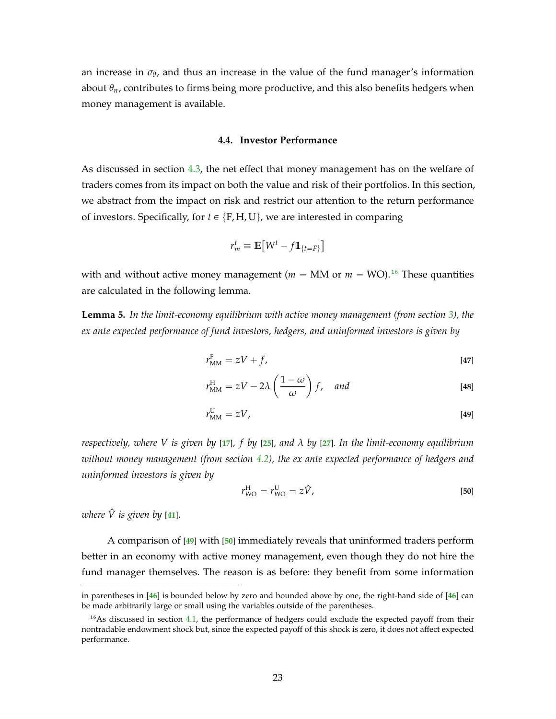<span id="page-23-0"></span>an increase in  $\sigma_{\theta}$ , and thus an increase in the value of the fund manager's information about  $\theta_n$ , contributes to firms being more productive, and this also benefits hedgers when money management is available.

# **4.4. Investor Performance**

As discussed in section [4.3,](#page-20-0) the net effect that money management has on the welfare of traders comes from its impact on both the value and risk of their portfolios. In this section, we abstract from the impact on risk and restrict our attention to the return performance of investors. Specifically, for  $t \in \{F, H, U\}$ , we are interested in comparing

<span id="page-23-4"></span>
$$
r_m^t \equiv \mathbb{E}\big[W^t - f\mathbb{1}_{\{t = F\}}\big]
$$

with and without active money management ( $m = MM$  or  $m = WO$ ).<sup>[16](#page-23-1)</sup> These quantities are calculated in the following lemma.

<span id="page-23-5"></span>**Lemma 5.** *In the limit-economy equilibrium with active money management (from section [3\)](#page-7-0), the ex ante expected performance of fund investors, hedgers, and uninformed investors is given by*

$$
r_{\rm MM}^{\rm F} = zV + f,\tag{47}
$$

$$
r_{\rm MM}^{\rm H} = zV - 2\lambda \left(\frac{1-\omega}{\omega}\right)f, \quad \text{and} \tag{48}
$$

$$
r_{\rm MM}^{\rm U} = zV, \tag{49}
$$

*respectively, where V is given by* [**[17](#page-11-1)**]*, f by* [**[25](#page-15-1)**]*, and λ by* [**[27](#page-15-3)**]*. In the limit-economy equilibrium without money management (from section [4.2\)](#page-18-0), the ex ante expected performance of hedgers and uninformed investors is given by*

<span id="page-23-6"></span><span id="page-23-3"></span><span id="page-23-2"></span>
$$
r_{\rm WO}^{\rm H} = r_{\rm WO}^{\rm U} = z\hat{V},\tag{50}
$$

*where*  $\hat{V}$  *is given by* [[41](#page-20-1)]*.* 

A comparison of [**[49](#page-23-2)**] with [**[50](#page-23-3)**] immediately reveals that uninformed traders perform better in an economy with active money management, even though they do not hire the fund manager themselves. The reason is as before: they benefit from some information

in parentheses in [**[46](#page-22-0)**] is bounded below by zero and bounded above by one, the right-hand side of [**[46](#page-22-0)**] can be made arbitrarily large or small using the variables outside of the parentheses.

<span id="page-23-1"></span> $16$ As discussed in section [4.1,](#page-16-0) the performance of hedgers could exclude the expected payoff from their nontradable endowment shock but, since the expected payoff of this shock is zero, it does not affect expected performance.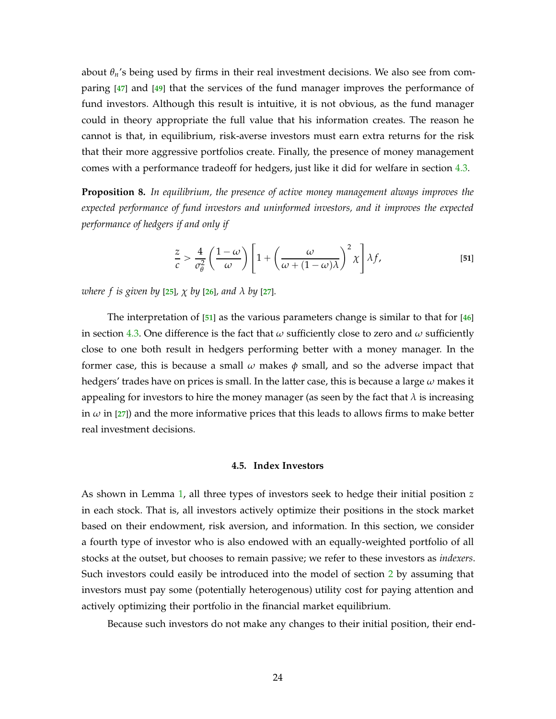about  $\theta_n$ 's being used by firms in their real investment decisions. We also see from comparing [**[47](#page-23-4)**] and [**[49](#page-23-2)**] that the services of the fund manager improves the performance of fund investors. Although this result is intuitive, it is not obvious, as the fund manager could in theory appropriate the full value that his information creates. The reason he cannot is that, in equilibrium, risk-averse investors must earn extra returns for the risk that their more aggressive portfolios create. Finally, the presence of money management comes with a performance tradeoff for hedgers, just like it did for welfare in section [4.3.](#page-20-0)

<span id="page-24-2"></span>**Proposition 8.** *In equilibrium, the presence of active money management always improves the expected performance of fund investors and uninformed investors, and it improves the expected performance of hedgers if and only if*

<span id="page-24-1"></span>
$$
\frac{z}{c} > \frac{4}{\sigma_{\theta}^{2}} \left( \frac{1 - \omega}{\omega} \right) \left[ 1 + \left( \frac{\omega}{\omega + (1 - \omega)\lambda} \right)^{2} \chi \right] \lambda f, \tag{51}
$$

*where f is given by* [**[25](#page-15-1)**]*, χ by* [**[26](#page-15-2)**]*, and λ by* [**[27](#page-15-3)**]*.*

The interpretation of [**[51](#page-24-1)**] as the various parameters change is similar to that for [**[46](#page-22-0)**] in section [4.3.](#page-20-0) One difference is the fact that  $\omega$  sufficiently close to zero and  $\omega$  sufficiently close to one both result in hedgers performing better with a money manager. In the former case, this is because a small *ω* makes *φ* small, and so the adverse impact that hedgers' trades have on prices is small. In the latter case, this is because a large *ω* makes it appealing for investors to hire the money manager (as seen by the fact that  $\lambda$  is increasing in  $\omega$  in [[27](#page-15-3)]) and the more informative prices that this leads to allows firms to make better real investment decisions.

### **4.5. Index Investors**

<span id="page-24-0"></span>As shown in Lemma [1,](#page-9-3) all three types of investors seek to hedge their initial position *z* in each stock. That is, all investors actively optimize their positions in the stock market based on their endowment, risk aversion, and information. In this section, we consider a fourth type of investor who is also endowed with an equally-weighted portfolio of all stocks at the outset, but chooses to remain passive; we refer to these investors as *indexers*. Such investors could easily be introduced into the model of section [2](#page-4-0) by assuming that investors must pay some (potentially heterogenous) utility cost for paying attention and actively optimizing their portfolio in the financial market equilibrium.

Because such investors do not make any changes to their initial position, their end-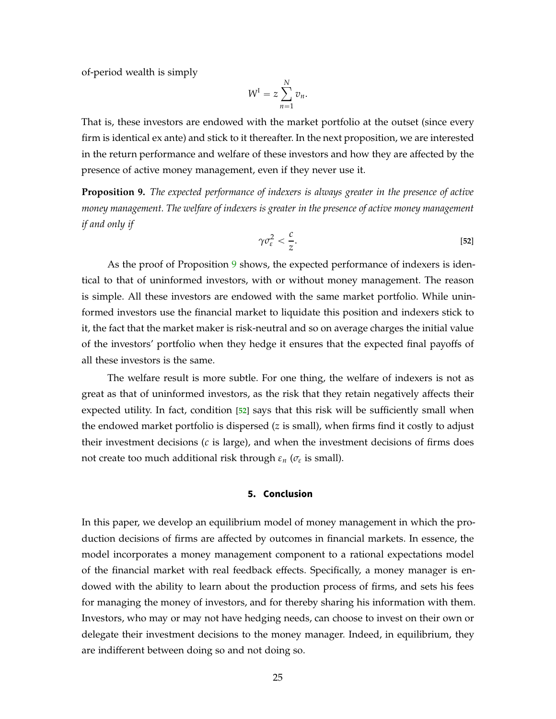of-period wealth is simply

$$
W^{\mathrm{I}}=z\sum_{n=1}^{N}v_n.
$$

That is, these investors are endowed with the market portfolio at the outset (since every firm is identical ex ante) and stick to it thereafter. In the next proposition, we are interested in the return performance and welfare of these investors and how they are affected by the presence of active money management, even if they never use it.

<span id="page-25-0"></span>**Proposition 9.** *The expected performance of indexers is always greater in the presence of active money management. The welfare of indexers is greater in the presence of active money management if and only if*

<span id="page-25-1"></span>
$$
\gamma \sigma_{\varepsilon}^2 < \frac{c}{z}.\tag{52}
$$

As the proof of Proposition [9](#page-25-0) shows, the expected performance of indexers is identical to that of uninformed investors, with or without money management. The reason is simple. All these investors are endowed with the same market portfolio. While uninformed investors use the financial market to liquidate this position and indexers stick to it, the fact that the market maker is risk-neutral and so on average charges the initial value of the investors' portfolio when they hedge it ensures that the expected final payoffs of all these investors is the same.

The welfare result is more subtle. For one thing, the welfare of indexers is not as great as that of uninformed investors, as the risk that they retain negatively affects their expected utility. In fact, condition [**[52](#page-25-1)**] says that this risk will be sufficiently small when the endowed market portfolio is dispersed (*z* is small), when firms find it costly to adjust their investment decisions (*c* is large), and when the investment decisions of firms does not create too much additional risk through *ε<sup>n</sup>* (*σ<sup>ε</sup>* is small).

# **5. Conclusion**

In this paper, we develop an equilibrium model of money management in which the production decisions of firms are affected by outcomes in financial markets. In essence, the model incorporates a money management component to a rational expectations model of the financial market with real feedback effects. Specifically, a money manager is endowed with the ability to learn about the production process of firms, and sets his fees for managing the money of investors, and for thereby sharing his information with them. Investors, who may or may not have hedging needs, can choose to invest on their own or delegate their investment decisions to the money manager. Indeed, in equilibrium, they are indifferent between doing so and not doing so.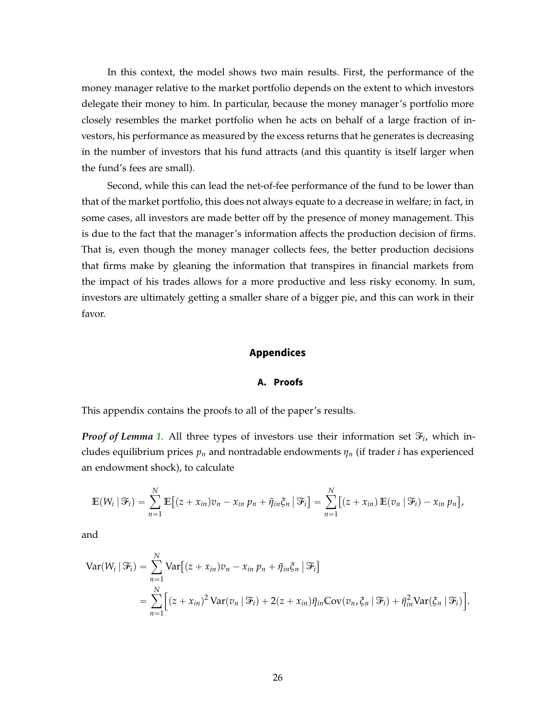In this context, the model shows two main results. First, the performance of the money manager relative to the market portfolio depends on the extent to which investors delegate their money to him. In particular, because the money manager's portfolio more closely resembles the market portfolio when he acts on behalf of a large fraction of investors, his performance as measured by the excess returns that he generates is decreasing in the number of investors that his fund attracts (and this quantity is itself larger when the fund's fees are small).

Second, while this can lead the net-of-fee performance of the fund to be lower than that of the market portfolio, this does not always equate to a decrease in welfare; in fact, in some cases, all investors are made better off by the presence of money management. This is due to the fact that the manager's information affects the production decision of firms. That is, even though the money manager collects fees, the better production decisions that firms make by gleaning the information that transpires in financial markets from the impact of his trades allows for a more productive and less risky economy. In sum, investors are ultimately getting a smaller share of a bigger pie, and this can work in their favor.

# **Appendices**

# **A. Proofs**

<span id="page-26-0"></span>This appendix contains the proofs to all of the paper's results.

*Proof of Lemma [1](#page-9-3).* All three types of investors use their information set  $\mathcal{F}_i$ , which includes equilibrium prices *p<sup>n</sup>* and nontradable endowments *η<sup>n</sup>* (if trader *i* has experienced an endowment shock), to calculate

$$
\mathbb{E}(W_i \mid \mathcal{F}_i) = \sum_{n=1}^N \mathbb{E}\big[(z + x_{in})v_n - x_{in}p_n + \tilde{\eta}_{in}\xi_n \mid \mathcal{F}_i\big] = \sum_{n=1}^N \big[(z + x_{in})\,\mathbb{E}(v_n \mid \mathcal{F}_i) - x_{in}p_n\big],
$$

and

$$
\begin{split} \text{Var}(W_i \mid \mathcal{F}_i) &= \sum_{n=1}^N \text{Var}\big[(z + x_{in})v_n - x_{in} \, p_n + \tilde{\eta}_{in} \xi_n \, \big| \, \mathcal{F}_i \big] \\ &= \sum_{n=1}^N \Big[ (z + x_{in})^2 \, \text{Var}(v_n \mid \mathcal{F}_i) + 2(z + x_{in}) \tilde{\eta}_{in} \text{Cov}(v_n, \xi_n \mid \mathcal{F}_i) + \tilde{\eta}_{in}^2 \text{Var}(\xi_n \mid \mathcal{F}_i) \Big]. \end{split}
$$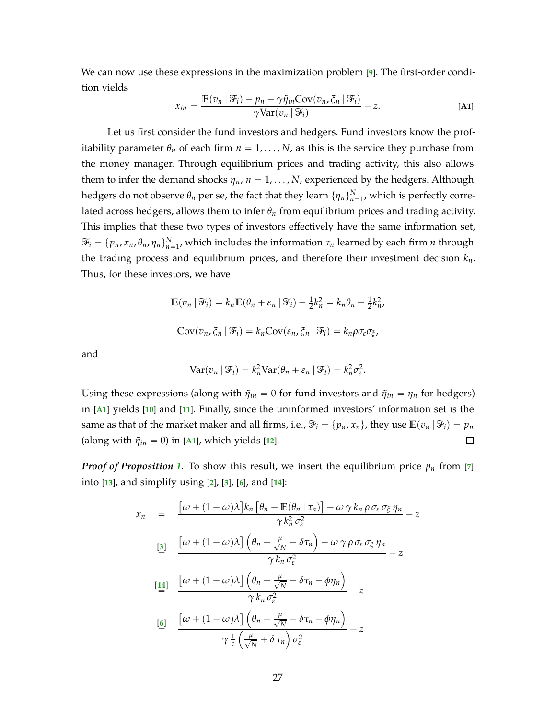We can now use these expressions in the maximization problem [**[9](#page-8-7)**]. The first-order condition yields

<span id="page-27-0"></span>
$$
x_{in} = \frac{\mathbb{E}(v_n \,|\, \mathcal{F}_i) - p_n - \gamma \tilde{\eta}_{in} \text{Cov}(v_n, \xi_n \,|\, \mathcal{F}_i)}{\gamma \text{Var}(v_n \,|\, \mathcal{F}_i)} - z. \tag{A1}
$$

Let us first consider the fund investors and hedgers. Fund investors know the profitability parameter  $\theta_n$  of each firm  $n = 1, \dots, N$ , as this is the service they purchase from the money manager. Through equilibrium prices and trading activity, this also allows them to infer the demand shocks  $\eta_n$ ,  $n = 1, \ldots, N$ , experienced by the hedgers. Although hedgers do not observe  $\theta_n$  per se, the fact that they learn  $\{\eta_n\}_{n=1}^N$ , which is perfectly correlated across hedgers, allows them to infer *θ<sup>n</sup>* from equilibrium prices and trading activity. This implies that these two types of investors effectively have the same information set,  $\mathcal{F}_i = \{p_n, x_n, \theta_n, \eta_n\}_{n=1}^N$ , which includes the information  $\tau_n$  learned by each firm *n* through the trading process and equilibrium prices, and therefore their investment decision *kn*. Thus, for these investors, we have

$$
\mathbb{E}(v_n \mid \mathcal{F}_i) = k_n \mathbb{E}(\theta_n + \varepsilon_n \mid \mathcal{F}_i) - \frac{1}{2}k_n^2 = k_n \theta_n - \frac{1}{2}k_n^2,
$$
  
\n
$$
Cov(v_n, \xi_n \mid \mathcal{F}_i) = k_n Cov(\varepsilon_n, \xi_n \mid \mathcal{F}_i) = k_n \rho \sigma_{\varepsilon} \sigma_{\xi},
$$

and

$$
Var(v_n | \mathcal{F}_i) = k_n^2 Var(\theta_n + \varepsilon_n | \mathcal{F}_i) = k_n^2 \sigma_{\varepsilon}^2.
$$

Using these expressions (along with  $\tilde{\eta}_{in} = 0$  for fund investors and  $\tilde{\eta}_{in} = \eta_n$  for hedgers) in [**[A1](#page-27-0)**] yields [**[10](#page-9-0)**] and [**[11](#page-9-1)**]. Finally, since the uninformed investors' information set is the same as that of the market maker and all firms, i.e.,  $\mathcal{F}_i = \{p_n, x_n\}$ , they use  $\mathbb{E}(v_n | \mathcal{F}_i) = p_n$  $\Box$ (along with  $\tilde{\eta}_{in} = 0$ ) in [[A1](#page-27-0)], which yields [[12](#page-9-2)].

*Proof of Proposition* [1](#page-10-3). To show this result, we insert the equilibrium price  $p_n$  from [[7](#page-8-3)] into [**[13](#page-9-4)**], and simplify using [**[2](#page-7-2)**], [**[3](#page-8-1)**], [**[6](#page-8-2)**], and [**[14](#page-10-0)**]:

$$
x_n = \frac{\left[\omega + (1 - \omega)\lambda\right]k_n\left[\theta_n - \mathbb{E}(\theta_n \mid \tau_n)\right] - \omega \gamma k_n \rho \sigma_{\varepsilon} \sigma_{\xi} \eta_n}{\gamma k_n^2 \sigma_{\varepsilon}^2} - z
$$
\n
$$
\stackrel{[3]}{\equiv} \frac{\left[\omega + (1 - \omega)\lambda\right] \left(\theta_n - \frac{\mu}{\sqrt{N}} - \delta \tau_n\right) - \omega \gamma \rho \sigma_{\varepsilon} \sigma_{\xi} \eta_n}{\gamma k_n \sigma_{\varepsilon}^2} - z
$$
\n
$$
\stackrel{[14]}{\equiv} \frac{\left[\omega + (1 - \omega)\lambda\right] \left(\theta_n - \frac{\mu}{\sqrt{N}} - \delta \tau_n - \phi \eta_n\right)}{\gamma k_n \sigma_{\varepsilon}^2} - z
$$
\n
$$
\stackrel{[6]}{\equiv} \frac{\left[\omega + (1 - \omega)\lambda\right] \left(\theta_n - \frac{\mu}{\sqrt{N}} - \delta \tau_n - \phi \eta_n\right)}{\gamma \frac{1}{\varepsilon} \left(\frac{\mu}{\sqrt{N}} + \delta \tau_n\right) \sigma_{\varepsilon}^2} - z
$$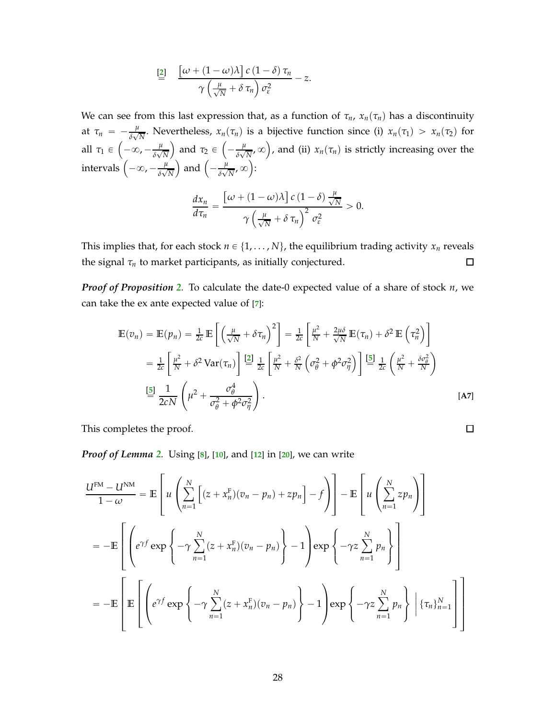$$
\begin{aligned}\n\boxed{2} & \frac{\left[\omega + (1 - \omega)\lambda\right]c\left(1 - \delta\right)\tau_n}{\gamma\left(\frac{\mu}{\sqrt{N}} + \delta\tau_n\right)\sigma_{\varepsilon}^2} - z.\n\end{aligned}
$$

We can see from this last expression that, as a function of  $\tau_n$ ,  $x_n(\tau_n)$  has a discontinuity at  $\tau_n = -\frac{\mu}{\delta \sqrt{2}}$  $\frac{\mu}{\delta\sqrt{N}}$ . Nevertheless,  $x_n(\tau_n)$  is a bijective function since (i)  $x_n(\tau_1) > x_n(\tau_2)$  for all  $\tau_1 \in \left(-\infty, -\frac{\mu}{\delta \sqrt{2}}\right)$ *δ* ? *N* and  $\tau_2 \in \left(-\frac{\mu}{\delta \sqrt{2}}\right)$  $\left(\frac{\mu}{\delta\sqrt{N}},\infty\right)$ , and (ii)  $x_n(\tau_n)$  is strictly increasing over the intervals  $\left(-\infty, -\frac{\mu}{\delta \sqrt{2}}\right)$ *δ* ? *N*  $\Big)$  and  $\Big(-\frac{\mu}{\delta\sqrt{2}}\Big)$  $\frac{\mu}{\delta\sqrt{N}},\infty\Big)$ :

$$
\frac{dx_n}{d\tau_n} = \frac{\left[\omega + (1-\omega)\lambda\right]c\left(1-\delta\right)\frac{\mu}{\sqrt{N}}}{\gamma\left(\frac{\mu}{\sqrt{N}} + \delta\tau_n\right)^2\sigma_{\varepsilon}^2} > 0.
$$

This implies that, for each stock  $n \in \{1, \dots, N\}$ , the equilibrium trading activity  $x_n$  reveals the signal  $\tau_n$  to market participants, as initially conjectured.  $\Box$ 

*Proof of Proposition [2](#page-11-3).* To calculate the date-0 expected value of a share of stock *n*, we can take the ex ante expected value of [**[7](#page-8-3)**]:

$$
\mathbb{E}(v_n) = \mathbb{E}(p_n) = \frac{1}{2c} \mathbb{E}\left[\left(\frac{\mu}{\sqrt{N}} + \delta \tau_n\right)^2\right] = \frac{1}{2c} \left[\frac{\mu^2}{N} + \frac{2\mu\delta}{\sqrt{N}} \mathbb{E}(\tau_n) + \delta^2 \mathbb{E}\left(\tau_n^2\right)\right]
$$

$$
= \frac{1}{2c} \left[\frac{\mu^2}{N} + \delta^2 \operatorname{Var}(\tau_n)\right] \stackrel{[2]}{=} \frac{1}{2c} \left[\frac{\mu^2}{N} + \frac{\delta^2}{N} \left(\sigma_\theta^2 + \phi^2 \sigma_\eta^2\right)\right] \stackrel{[5]}{=} \frac{1}{2c} \left(\frac{\mu^2}{N} + \frac{\delta \sigma_\theta^2}{N}\right)
$$

$$
\stackrel{[5]}{=} \frac{1}{2cN} \left(\mu^2 + \frac{\sigma_\theta^4}{\sigma_\theta^2 + \phi^2 \sigma_\eta^2}\right).
$$
 [A7]

<span id="page-28-0"></span> $\Box$ 

This completes the proof.

*Proof of Lemma [2](#page-12-3).* Using [**[8](#page-8-6)**], [**[10](#page-9-0)**], and [**[12](#page-9-2)**] in [**[20](#page-12-4)**], we can write

$$
\frac{U^{FM} - U^{NM}}{1 - \omega} = \mathbb{E} \left[ u \left( \sum_{n=1}^{N} \left[ (z + x_n^F)(v_n - p_n) + z p_n \right] - f \right) \right] - \mathbb{E} \left[ u \left( \sum_{n=1}^{N} z p_n \right) \right]
$$
  
= 
$$
-\mathbb{E} \left[ \left( e^{\gamma f} \exp \left\{ -\gamma \sum_{n=1}^{N} (z + x_n^F)(v_n - p_n) \right\} - 1 \right) \exp \left\{ -\gamma z \sum_{n=1}^{N} p_n \right\} \right]
$$
  
= 
$$
-\mathbb{E} \left[ \mathbb{E} \left[ \left( e^{\gamma f} \exp \left\{ -\gamma \sum_{n=1}^{N} (z + x_n^F)(v_n - p_n) \right\} - 1 \right) \exp \left\{ -\gamma z \sum_{n=1}^{N} p_n \right\} \right] \left\{ \tau_n \right\}_{n=1}^{N} \right]
$$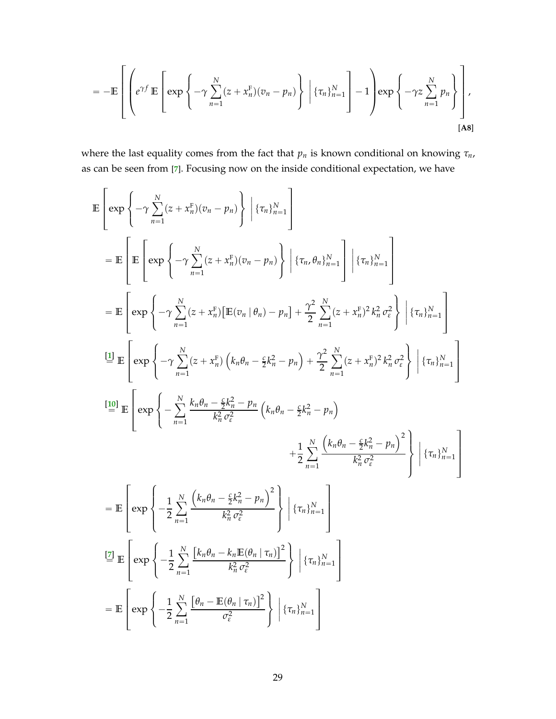<span id="page-29-0"></span>
$$
= -\mathbb{E}\left[\left(e^{\gamma f}\,\mathbb{E}\left[\exp\left\{-\gamma \sum_{n=1}^N (z+x_n^F)(v_n-p_n)\right\}\left|\left\{\tau_n\right\}_{n=1}^N\right]-1\right]\exp\left\{-\gamma z \sum_{n=1}^N p_n\right\}\right],\tag{A8}
$$

where the last equality comes from the fact that  $p_n$  is known conditional on knowing  $\tau_n$ , as can be seen from [**[7](#page-8-3)**]. Focusing now on the inside conditional expectation, we have

$$
\mathbb{E}\left[\exp\left\{-\gamma \sum_{n=1}^{N} (z + x_n^{\mathrm{F}})(v_n - p_n)\right\} \Big| \{\tau_n\}_{n=1}^{N}\right]
$$
\n
$$
= \mathbb{E}\left[\mathbb{E}\left[\exp\left\{-\gamma \sum_{n=1}^{N} (z + x_n^{\mathrm{F}})(v_n - p_n)\right\} \Big| \{\tau_n, \theta_n\}_{n=1}^{N}\right] \Big| \{\tau_n\}_{n=1}^{N}\right]
$$
\n
$$
= \mathbb{E}\left[\exp\left\{-\gamma \sum_{n=1}^{N} (z + x_n^{\mathrm{F}}) \Big[ \mathbb{E}(v_n | \theta_n) - p_n \Big] + \frac{\gamma^2}{2} \sum_{n=1}^{N} (z + x_n^{\mathrm{F}})^2 k_n^2 \sigma_{\varepsilon}^2 \right\} \Big| \{\tau_n\}_{n=1}^{N}\right]
$$
\n
$$
\stackrel{\text{[1]}}{=} \mathbb{E}\left[\exp\left\{-\gamma \sum_{n=1}^{N} (z + x_n^{\mathrm{F}}) \left(k_n \theta_n - \frac{c}{2} k_n^2 - p_n\right) + \frac{\gamma^2}{2} \sum_{n=1}^{N} (z + x_n^{\mathrm{F}})^2 k_n^2 \sigma_{\varepsilon}^2 \right\} \Big| \{\tau_n\}_{n=1}^{N}\right]
$$
\n
$$
\stackrel{\text{[10]}}{=} \mathbb{E}\left[\exp\left\{-\sum_{n=1}^{N} \frac{k_n \theta_n - \frac{c}{2} k_n^2 - p_n}{k_n^2 \sigma_{\varepsilon}^2} \left(k_n \theta_n - \frac{c}{2} k_n^2 - p_n\right) + \frac{1}{2} \sum_{n=1}^{N} \frac{\left(k_n \theta_n - \frac{c}{2} k_n^2 - p_n\right)^2}{k_n^2 \sigma_{\varepsilon}^2} \right\} \Big| \{\tau_n\}_{n=1}^{N}\right]
$$
\n
$$
= \mathbb{E}\left[\exp\left\{-\frac{1}{2} \sum_{n=1}^{N} \frac{\left(k_n \theta_n - \frac{c}{2} k_n^2 - p_n\right)^2}{k_n^2 \sigma_{\varepsilon}^2} \right\} \Big| \{\tau_n\}_{n=1}^{N}\right]
$$
\n<math display="</math>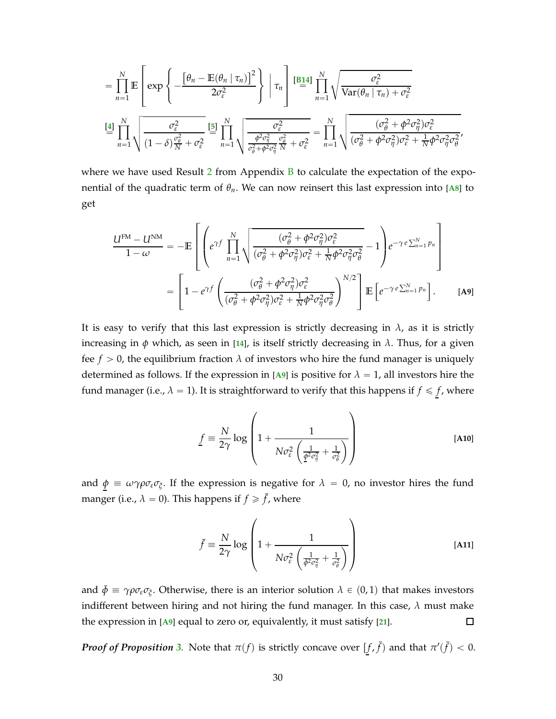$$
= \prod_{n=1}^{N} \mathbb{E}\left[\exp\left\{-\frac{\left[\theta_{n} - \mathbb{E}(\theta_{n} \mid \tau_{n})\right]^{2}}{2\sigma_{\varepsilon}^{2}}\right\} \middle| \tau_{n}\right] \frac{\left[\mathbf{B}_{\frac{1}{2}}\right]^{N}}{\prod_{n=1}^{N} \sqrt{\frac{\sigma_{\varepsilon}^{2}}{\text{Var}(\theta_{n} \mid \tau_{n}) + \sigma_{\varepsilon}^{2}}}}\right]
$$

$$
\frac{\left[\frac{4}{3}\right]^{N}}{\prod_{n=1}^{N} \sqrt{\frac{\sigma_{\varepsilon}^{2}}{(1-\delta)\frac{\sigma_{\theta}^{2}}{N} + \sigma_{\varepsilon}^{2}}} \frac{\left[\frac{5}{3}\right]^{N}}{\prod_{n=1}^{N} \sqrt{\frac{\sigma_{\varepsilon}^{2}}{\sigma_{\theta}^{2} + \phi^{2} \sigma_{\eta}^{2}} \frac{\sigma_{\theta}^{2}}{\sigma_{\theta}^{2}}}}\right]}{\prod_{n=1}^{N} \sqrt{\frac{(\sigma_{\theta}^{2} + \phi^{2} \sigma_{\eta}^{2})\sigma_{\varepsilon}^{2}}{(\sigma_{\theta}^{2} + \phi^{2} \sigma_{\eta}^{2})\sigma_{\varepsilon}^{2} + \frac{1}{N}\phi^{2} \sigma_{\eta}^{2}\sigma_{\theta}^{2}}}}
$$

where we have used Result  $2$  from Appendix  $\overline{B}$  $\overline{B}$  $\overline{B}$  to calculate the expectation of the exponential of the quadratic term of *θn*. We can now reinsert this last expression into [**[A8](#page-29-0)**] to get

$$
\frac{U^{FM} - U^{NM}}{1 - \omega} = -\mathbb{E}\left[\left(e^{\gamma f} \prod_{n=1}^{N} \sqrt{\frac{(\sigma_{\theta}^2 + \phi^2 \sigma_{\eta}^2)\sigma_{\epsilon}^2}{(\sigma_{\theta}^2 + \phi^2 \sigma_{\eta}^2)\sigma_{\epsilon}^2 + \frac{1}{N}\phi^2 \sigma_{\eta}^2 \sigma_{\theta}^2}} - 1\right) e^{-\gamma e \sum_{n=1}^{N} p_n} \right]
$$
\n
$$
= \left[1 - e^{\gamma f} \left(\frac{(\sigma_{\theta}^2 + \phi^2 \sigma_{\eta}^2)\sigma_{\epsilon}^2}{(\sigma_{\theta}^2 + \phi^2 \sigma_{\eta}^2)\sigma_{\epsilon}^2 + \frac{1}{N}\phi^2 \sigma_{\eta}^2 \sigma_{\theta}^2}\right)^{N/2}\right] \mathbb{E}\left[e^{-\gamma e \sum_{n=1}^{N} p_n}\right].
$$
\n[A9]

It is easy to verify that this last expression is strictly decreasing in  $\lambda$ , as it is strictly increasing in *φ* which, as seen in [**[14](#page-10-0)**], is itself strictly decreasing in *λ*. Thus, for a given fee  $f > 0$ , the equilibrium fraction  $\lambda$  of investors who hire the fund manager is uniquely determined as follows. If the expression in [[A9](#page-30-2)] is positive for  $\lambda = 1$ , all investors hire the fund manager (i.e.,  $\lambda = 1$ ). It is straightforward to verify that this happens if  $f \leq f$ , where

<span id="page-30-2"></span><span id="page-30-0"></span>
$$
f \equiv \frac{N}{2\gamma} \log \left( 1 + \frac{1}{N \sigma_{\varepsilon}^2 \left( \frac{1}{\varphi^2 \sigma_{\eta}^2} + \frac{1}{\sigma_{\theta}^2} \right)} \right)
$$
 [A10]

and  $\underline{\phi} \equiv \omega \gamma \rho \sigma_{\varepsilon} \sigma_{\xi}$ . If the expression is negative for  $\lambda = 0$ , no investor hires the fund manger (i.e.,  $\lambda = 0$ ). This happens if  $f \geq \bar{f}$ , where

<span id="page-30-1"></span>
$$
\bar{f} = \frac{N}{2\gamma} \log \left( 1 + \frac{1}{N\sigma_{\varepsilon}^2 \left( \frac{1}{\bar{\phi}^2 \sigma_{\eta}^2} + \frac{1}{\sigma_{\theta}^2} \right)} \right)
$$
 [A11]

and  $\bar{\phi} \equiv \gamma \rho \sigma_{\epsilon} \sigma_{\zeta}$ . Otherwise, there is an interior solution  $\lambda \in (0, 1)$  that makes investors indifferent between hiring and not hiring the fund manager. In this case, *λ* must make the expression in [**[A9](#page-30-2)**] equal to zero or, equivalently, it must satisfy [**[21](#page-12-2)**].  $\Box$ 

*Proof of Proposition* [3](#page-15-4). Note that  $\pi(f)$  is strictly concave over  $(\underline{f}, \overline{f})$  and that  $\pi'(\overline{f}) < 0$ .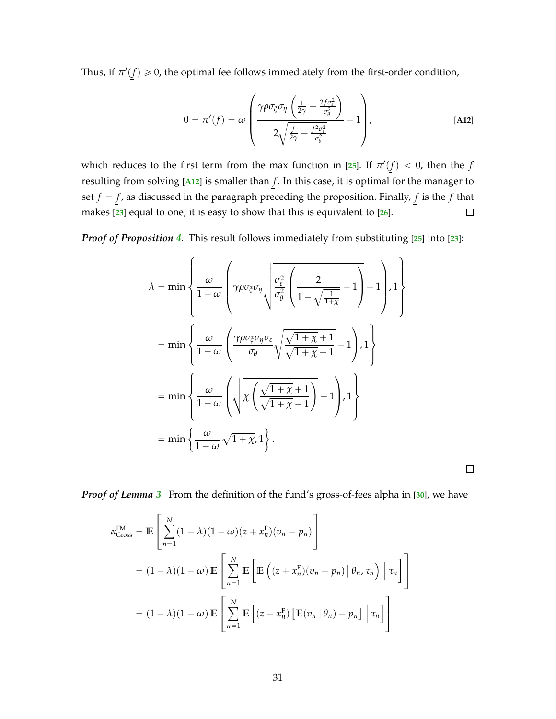Thus, if  $\pi'(\underline{f}) \geq 0$ , the optimal fee follows immediately from the first-order condition,

<span id="page-31-0"></span>
$$
0 = \pi'(f) = \omega \left( \frac{\gamma \rho \sigma_{\xi} \sigma_{\eta} \left( \frac{1}{2\gamma} - \frac{2f \sigma_{\xi}^2}{\sigma_{\theta}^2} \right)}{2\sqrt{\frac{f}{2\gamma} - \frac{f^2 \sigma_{\xi}^2}{\sigma_{\theta}^2}}} - 1 \right),
$$
 [A12]

which reduces to the first term from the max function in [[25](#page-15-1)]. If  $\pi'(\underline{f}) < 0$ , then the *f* resulting from solving  $[$ [A12](#page-31-0) $]$  is smaller than  $f$ . In this case, it is optimal for the manager to set  $f = f$ , as discussed in the paragraph preceding the proposition. Finally,  $f$  is the  $f$  that makes [**[23](#page-14-0)**] equal to one; it is easy to show that this is equivalent to [**[26](#page-15-2)**].  $\Box$ 

*Proof of Proposition [4](#page-15-5).* This result follows immediately from substituting [**[25](#page-15-1)**] into [**[23](#page-14-0)**]:

$$
\lambda = \min \left\{ \frac{\omega}{1 - \omega} \left( \gamma \rho \sigma_{\xi} \sigma_{\eta} \sqrt{\frac{\sigma_{\xi}^{2}}{\sigma_{\theta}^{2}} \left( \frac{2}{1 - \sqrt{\frac{1}{1 + \chi}}} - 1 \right)} - 1 \right), 1 \right\}
$$

$$
= \min \left\{ \frac{\omega}{1 - \omega} \left( \frac{\gamma \rho \sigma_{\xi} \sigma_{\eta} \sigma_{\epsilon}}{\sigma_{\theta}} \sqrt{\frac{\sqrt{1 + \chi} + 1}{\sqrt{1 + \chi} - 1}} - 1 \right), 1 \right\}
$$

$$
= \min \left\{ \frac{\omega}{1 - \omega} \left( \sqrt{\chi \left( \frac{\sqrt{1 + \chi} + 1}{\sqrt{1 + \chi} - 1} \right)} - 1 \right), 1 \right\}
$$

$$
= \min \left\{ \frac{\omega}{1 - \omega} \sqrt{1 + \chi}, 1 \right\}.
$$

*Proof of Lemma [3](#page-17-4).* From the definition of the fund's gross-of-fees alpha in [**[30](#page-17-5)**], we have

$$
\alpha_{\text{Gross}}^{\text{FM}} = \mathbb{E}\left[\sum_{n=1}^{N} (1-\lambda)(1-\omega)(z+x_n^{\text{F}})(v_n-p_n)\right]
$$
  
=  $(1-\lambda)(1-\omega)\mathbb{E}\left[\sum_{n=1}^{N} \mathbb{E}\left[\mathbb{E}\left((z+x_n^{\text{F}})(v_n-p_n)\big|\theta_n,\tau_n\right)|\tau_n\right]\right]$   
=  $(1-\lambda)(1-\omega)\mathbb{E}\left[\sum_{n=1}^{N} \mathbb{E}\left[(z+x_n^{\text{F}})\left[\mathbb{E}(v_n|\theta_n)-p_n\right)|\tau_n\right]\right]$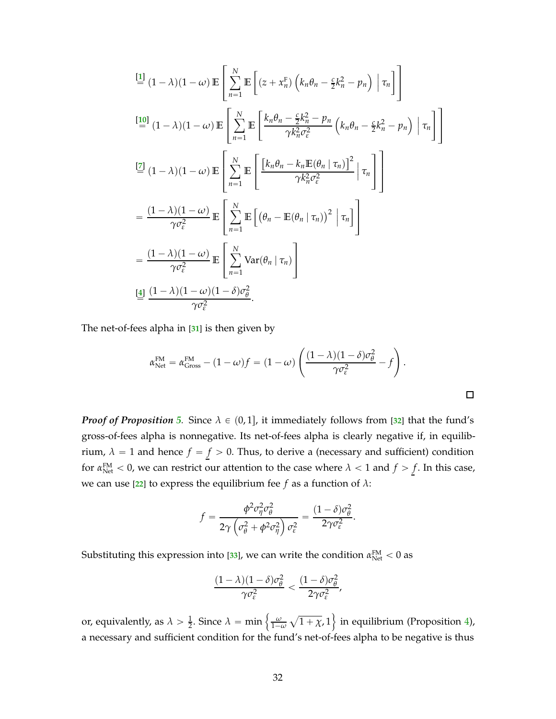$$
\begin{split}\n\frac{[1]}{=} (1 - \lambda)(1 - \omega) \mathbb{E} \left[ \sum_{n=1}^{N} \mathbb{E} \left[ (z + x_n^{\mathrm{F}}) \left( k_n \theta_n - \frac{c}{2} k_n^2 - p_n \right) \, \middle| \, \tau_n \right] \right] \\
\frac{[10]}{=} (1 - \lambda)(1 - \omega) \mathbb{E} \left[ \sum_{n=1}^{N} \mathbb{E} \left[ \frac{k_n \theta_n - \frac{c}{2} k_n^2 - p_n}{\gamma k_n^2 \sigma_{\varepsilon}^2} \left( k_n \theta_n - \frac{c}{2} k_n^2 - p_n \right) \, \middle| \, \tau_n \right] \right] \\
\frac{[7]}{=} (1 - \lambda)(1 - \omega) \mathbb{E} \left[ \sum_{n=1}^{N} \mathbb{E} \left[ \frac{\left[ k_n \theta_n - k_n \mathbb{E}(\theta_n \, \middle| \, \tau_n \right)\right]^2}{\gamma k_n^2 \sigma_{\varepsilon}^2} \, \middle| \, \tau_n \right] \\
&= \frac{(1 - \lambda)(1 - \omega)}{\gamma \sigma_{\varepsilon}^2} \mathbb{E} \left[ \sum_{n=1}^{N} \mathbb{E} \left[ \left( \theta_n - \mathbb{E}(\theta_n \, \middle| \, \tau_n \right)\right]^2 \, \middle| \, \tau_n \right] \\
&= \frac{(1 - \lambda)(1 - \omega)}{\gamma \sigma_{\varepsilon}^2} \mathbb{E} \left[ \sum_{n=1}^{N} \text{Var}(\theta_n \, \middle| \, \tau_n \right] \\
&\frac{[4]}{2} \frac{(1 - \lambda)(1 - \omega)(1 - \delta)\sigma_{\theta}^2}{\gamma \sigma_{\varepsilon}^2}.\n\end{split}
$$

The net-of-fees alpha in [**[31](#page-17-6)**] is then given by

$$
\alpha_{\text{Net}}^{\text{FM}} = \alpha_{\text{Gross}}^{\text{FM}} - (1 - \omega)f = (1 - \omega) \left( \frac{(1 - \lambda)(1 - \delta)\sigma_{\theta}^{2}}{\gamma \sigma_{\epsilon}^{2}} - f \right).
$$

 $\Box$ 

*Proof of Proposition* [5](#page-18-3). Since  $\lambda \in (0, 1]$ , it immediately follows from [[32](#page-17-2)] that the fund's gross-of-fees alpha is nonnegative. Its net-of-fees alpha is clearly negative if, in equilibrium,  $\lambda = 1$  and hence  $f = f > 0$ . Thus, to derive a (necessary and sufficient) condition for  $\alpha_{\text{Net}}^{\text{FM}}$  < 0, we can restrict our attention to the case where  $\lambda$  < 1 and  $f > f$ . In this case, we can use  $[22]$  $[22]$  $[22]$  to express the equilibrium fee *f* as a function of  $\lambda$ :

$$
f = \frac{\phi^2 \sigma_\eta^2 \sigma_\theta^2}{2\gamma \left(\sigma_\theta^2 + \phi^2 \sigma_\eta^2\right) \sigma_\epsilon^2} = \frac{(1-\delta)\sigma_\theta^2}{2\gamma \sigma_\epsilon^2}.
$$

Substituting this expression into [[33](#page-17-3)], we can write the condition  $\alpha_{\rm Net}^{\rm FM} < 0$  as

$$
\frac{(1-\lambda)(1-\delta)\sigma_{\theta}^2}{\gamma\sigma_{\epsilon}^2} < \frac{(1-\delta)\sigma_{\theta}^2}{2\gamma\sigma_{\epsilon}^2},
$$

or, equivalently, as  $\lambda > \frac{1}{2}$ . Since  $\lambda = \min \left\{ \frac{\omega}{1-\omega} \sqrt{1+\chi}$ , 1 $\right\}$  in equilibrium (Proposition [4\)](#page-15-5), a necessary and sufficient condition for the fund's net-of-fees alpha to be negative is thus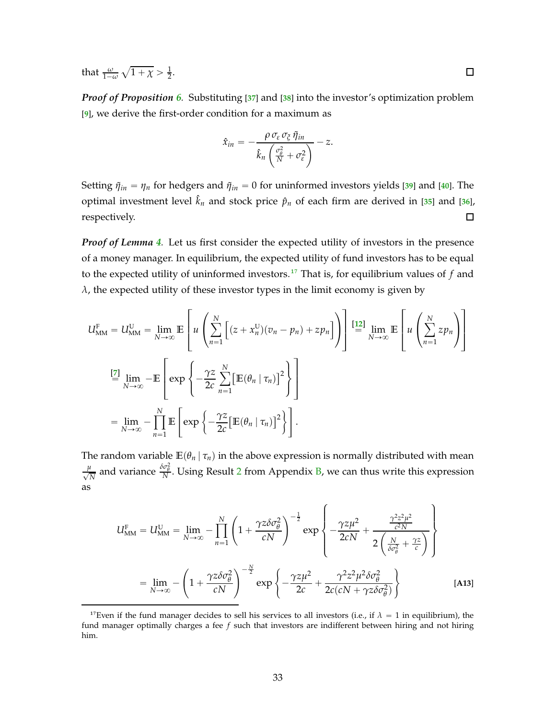that  $\frac{\omega}{1-\omega}\sqrt{1+\chi} > \frac{1}{2}$ .

*Proof of Proposition [6](#page-19-2).* Substituting [**[37](#page-19-3)**] and [**[38](#page-19-4)**] into the investor's optimization problem [**[9](#page-8-7)**], we derive the first-order condition for a maximum as

$$
\hat{x}_{in} = -\frac{\rho \,\sigma_{\varepsilon} \,\sigma_{\xi} \,\tilde{\eta}_{in}}{\hat{k}_n \left( \frac{\sigma_{\theta}^2}{N} + \sigma_{\varepsilon}^2 \right)} - z.
$$

Setting  $\tilde{\eta}_{in} = \eta_n$  for hedgers and  $\tilde{\eta}_{in} = 0$  for uninformed investors yields [[39](#page-19-5)] and [[40](#page-19-6)]. The optimal investment level  $\hat{k}_n$  and stock price  $\hat{p}_n$  of each firm are derived in [[35](#page-19-0)] and [[36](#page-19-1)], respectively.  $\Box$ 

*Proof of Lemma [4](#page-21-1).* Let us first consider the expected utility of investors in the presence of a money manager. In equilibrium, the expected utility of fund investors has to be equal to the expected utility of uninformed investors.<sup>[17](#page-33-0)</sup> That is, for equilibrium values of  $f$  and  $\lambda$ , the expected utility of these investor types in the limit economy is given by

$$
U_{\text{MM}}^{\text{F}} = U_{\text{MM}}^{\text{U}} = \lim_{N \to \infty} \mathbb{E} \left[ u \left( \sum_{n=1}^{N} \left[ (z + x_{n}^{\text{U}})(v_{n} - p_{n}) + z p_{n} \right] \right) \right] \stackrel{\text{[12]}}{=} \lim_{N \to \infty} \mathbb{E} \left[ u \left( \sum_{n=1}^{N} z p_{n} \right) \right]
$$
\n
$$
\stackrel{\text{[2]}}{=} \lim_{N \to \infty} -\mathbb{E} \left[ \exp \left\{ -\frac{\gamma z}{2c} \sum_{n=1}^{N} \left[ \mathbb{E} (\theta_{n} \mid \tau_{n}) \right]^{2} \right\} \right]
$$
\n
$$
= \lim_{N \to \infty} -\prod_{n=1}^{N} \mathbb{E} \left[ \exp \left\{ -\frac{\gamma z}{2c} \left[ \mathbb{E} (\theta_{n} \mid \tau_{n}) \right]^{2} \right\} \right].
$$

The random variable  $\mathbb{E}(\theta_n | \tau_n)$  in the above expression is normally distributed with mean  $\frac{\mu}{\sqrt{N}}$  and variance  $\frac{\delta \sigma_\theta^2}{N}$  $\frac{\delta \sigma_\theta^2}{N}$  $\frac{\delta \sigma_\theta^2}{N}$ . Using Result 2 from Appendix [B,](#page-41-0) we can thus write this expression as

<span id="page-33-1"></span>
$$
U_{\text{MM}}^{\text{F}} = U_{\text{MM}}^{\text{U}} = \lim_{N \to \infty} -\prod_{n=1}^{N} \left( 1 + \frac{\gamma z \delta \sigma_{\theta}^{2}}{cN} \right)^{-\frac{1}{2}} \exp \left\{ -\frac{\gamma z \mu^{2}}{2cN} + \frac{\frac{\gamma^{2} z^{2} \mu^{2}}{c^{2}N}}{2\left(\frac{N}{\delta \sigma_{\theta}^{2}} + \frac{\gamma z}{c}\right)} \right\}
$$

$$
= \lim_{N \to \infty} -\left( 1 + \frac{\gamma z \delta \sigma_{\theta}^{2}}{cN} \right)^{-\frac{N}{2}} \exp \left\{ -\frac{\gamma z \mu^{2}}{2c} + \frac{\gamma^{2} z^{2} \mu^{2} \delta \sigma_{\theta}^{2}}{2c(cN + \gamma z \delta \sigma_{\theta}^{2})} \right\}
$$
[A13]

<span id="page-33-0"></span><sup>&</sup>lt;sup>17</sup>Even if the fund manager decides to sell his services to all investors (i.e., if  $\lambda = 1$  in equilibrium), the fund manager optimally charges a fee *f* such that investors are indifferent between hiring and not hiring him.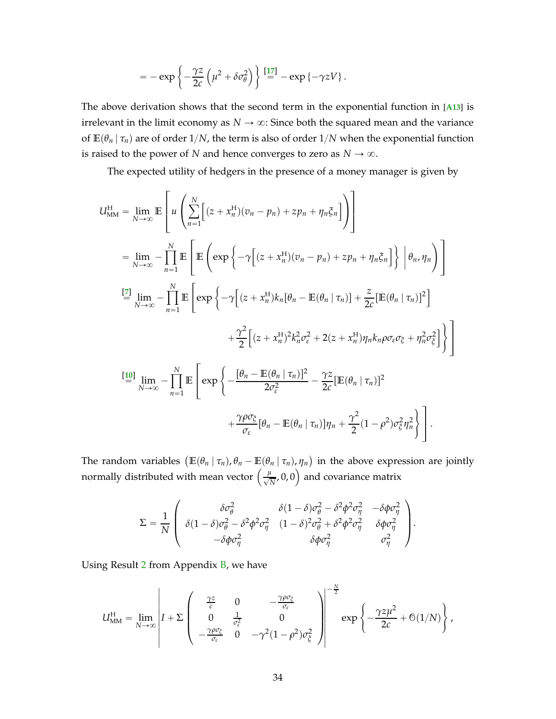$$
= - \exp \left\{ -\frac{\gamma z}{2c} \left( \mu^2 + \delta \sigma_\theta^2 \right) \right\} \stackrel{\text{[17]}}{=} - \exp \left\{ -\gamma z V \right\}.
$$

The above derivation shows that the second term in the exponential function in [**[A13](#page-33-1)**] is irrelevant in the limit economy as  $N \to \infty$ : Since both the squared mean and the variance of  $\mathbb{E}(\theta_n | \tau_n)$  are of order 1/*N*, the term is also of order 1/*N* when the exponential function is raised to the power of *N* and hence converges to zero as  $N \to \infty$ .

The expected utility of hedgers in the presence of a money manager is given by

$$
U_{MM}^{H} = \lim_{N \to \infty} \mathbb{E} \left[ u \left( \sum_{n=1}^{N} \left[ (z + x_{n}^{H})(v_{n} - p_{n}) + z p_{n} + \eta_{n} \xi_{n} \right] \right) \right]
$$
  
\n
$$
= \lim_{N \to \infty} - \prod_{n=1}^{N} \mathbb{E} \left[ \mathbb{E} \left( \exp \left\{ -\gamma \left[ (z + x_{n}^{H})(v_{n} - p_{n}) + z p_{n} + \eta_{n} \xi_{n} \right] \right\} \Big| \theta_{n}, \eta_{n} \right) \right]
$$
  
\n
$$
\stackrel{[7]}{=} \lim_{N \to \infty} - \prod_{n=1}^{N} \mathbb{E} \left[ \exp \left\{ -\gamma \left[ (z + x_{n}^{H}) k_{n} [\theta_{n} - \mathbb{E}(\theta_{n} | \tau_{n})] + \frac{z}{2c} [\mathbb{E}(\theta_{n} | \tau_{n})]^{2} \right] \right.\right.
$$
  
\n
$$
+ \frac{\gamma^{2}}{2} \left[ (z + x_{n}^{H})^{2} k_{n}^{2} \sigma_{\epsilon}^{2} + 2(z + x_{n}^{H}) \eta_{n} k_{n} \rho \sigma_{\epsilon} \sigma_{\zeta} + \eta_{n}^{2} \sigma_{\zeta}^{2} \right] \right\} \right]
$$
  
\n
$$
\stackrel{[10]}{=} \lim_{N \to \infty} - \prod_{n=1}^{N} \mathbb{E} \left[ \exp \left\{ -\frac{[\theta_{n} - \mathbb{E}(\theta_{n} | \tau_{n})]^{2}}{2\sigma_{\epsilon}^{2}} - \frac{\gamma z}{2c} [\mathbb{E}(\theta_{n} | \tau_{n})]^{2} \right.\right.
$$
  
\n
$$
+ \frac{\gamma \rho \sigma_{\zeta}}{\sigma_{\epsilon}} [\theta_{n} - \mathbb{E}(\theta_{n} | \tau_{n})] \eta_{n} + \frac{\gamma^{2}}{2} (1 - \rho^{2}) \sigma_{\zeta}^{2} \eta_{n}^{2} \right\} \right].
$$

The random variables  $(\mathbb{E}(\theta_n | \tau_n), \theta_n - \mathbb{E}(\theta_n | \tau_n), \eta_n)$  in the above expression are jointly normally distributed with mean vector  $\left(\frac{\mu}{\sqrt{N}},0,0\right)$  and covariance matrix

$$
\Sigma = \frac{1}{N} \left( \begin{array}{ccc} \delta \sigma_\theta^2 & \delta (1-\delta) \sigma_\theta^2 - \delta^2 \phi^2 \sigma_\eta^2 & -\delta \phi \sigma_\eta^2 \\ \delta (1-\delta) \sigma_\theta^2 - \delta^2 \phi^2 \sigma_\eta^2 & (1-\delta)^2 \sigma_\theta^2 + \delta^2 \phi^2 \sigma_\eta^2 & \delta \phi \sigma_\eta^2 \\ -\delta \phi \sigma_\eta^2 & \delta \phi \sigma_\eta^2 & \sigma_\eta^2 \end{array} \right).
$$

Using Result [2](#page-42-8) from Appendix [B,](#page-41-0) we have

$$
U_{\text{MM}}^{\text{H}} = \lim_{N \to \infty} \left| I + \Sigma \left( \begin{array}{ccc} \frac{\gamma z}{c} & 0 & -\frac{\gamma \rho \sigma_{\xi}}{\sigma_{\varepsilon}} \\ 0 & \frac{1}{\sigma_{\varepsilon}^{2}} & 0 \\ -\frac{\gamma \rho \sigma_{\xi}}{\sigma_{\varepsilon}} & 0 & -\gamma^{2} (1 - \rho^{2}) \sigma_{\xi}^{2} \end{array} \right) \right|^{-\frac{N}{2}} \exp \left\{ -\frac{\gamma z \mu^{2}}{2c} + \mathcal{O}(1/N) \right\},
$$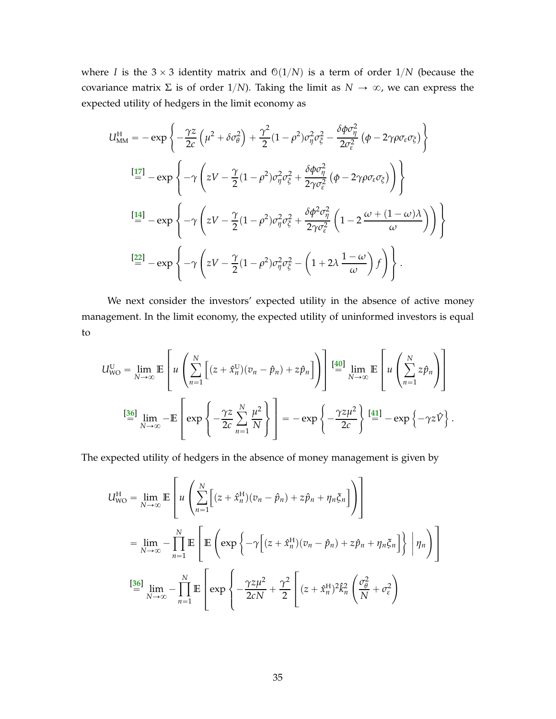where *I* is the 3  $\times$  3 identity matrix and  $\mathcal{O}(1/N)$  is a term of order 1/*N* (because the covariance matrix  $\Sigma$  is of order 1/*N*). Taking the limit as  $N \to \infty$ , we can express the expected utility of hedgers in the limit economy as

$$
U_{\text{MM}}^{\text{H}} = -\exp\left\{-\frac{\gamma z}{2c}\left(\mu^2 + \delta\sigma_\theta^2\right) + \frac{\gamma^2}{2}(1-\rho^2)\sigma_\eta^2\sigma_\xi^2 - \frac{\delta\phi\sigma_\eta^2}{2\sigma_\epsilon^2}\left(\phi - 2\gamma\rho\sigma_\epsilon\sigma_\xi\right)\right\}
$$
  
\n
$$
\frac{[17]}{=} - \exp\left\{-\gamma\left(zV - \frac{\gamma}{2}(1-\rho^2)\sigma_\eta^2\sigma_\xi^2 + \frac{\delta\phi\sigma_\eta^2}{2\gamma\sigma_\epsilon^2}\left(\phi - 2\gamma\rho\sigma_\epsilon\sigma_\xi\right)\right)\right\}
$$
  
\n
$$
\frac{[14]}{=} - \exp\left\{-\gamma\left(zV - \frac{\gamma}{2}(1-\rho^2)\sigma_\eta^2\sigma_\xi^2 + \frac{\delta\phi^2\sigma_\eta^2}{2\gamma\sigma_\epsilon^2}\left(1 - 2\frac{\omega + (1-\omega)\lambda}{\omega}\right)\right)\right\}
$$
  
\n
$$
\frac{[22]}{=} - \exp\left\{-\gamma\left(zV - \frac{\gamma}{2}(1-\rho^2)\sigma_\eta^2\sigma_\xi^2 - \left(1 + 2\lambda\frac{1-\omega}{\omega}\right)f\right)\right\}.
$$

We next consider the investors' expected utility in the absence of active money management. In the limit economy, the expected utility of uninformed investors is equal to

$$
U_{\text{WO}}^{\text{U}} = \lim_{N \to \infty} \mathbb{E} \left[ u \left( \sum_{n=1}^{N} \left[ (z + \hat{x}_{n}^{\text{U}})(v_{n} - \hat{p}_{n}) + z\hat{p}_{n} \right] \right) \right] \stackrel{\text{[40]}}{=} \lim_{N \to \infty} \mathbb{E} \left[ u \left( \sum_{n=1}^{N} z\hat{p}_{n} \right) \right]
$$
\n
$$
\stackrel{\text{[36]}}{=} \lim_{N \to \infty} -\mathbb{E} \left[ \exp \left\{ -\frac{\gamma z}{2c} \sum_{n=1}^{N} \frac{\mu^{2}}{N} \right\} \right] = -\exp \left\{ -\frac{\gamma z \mu^{2}}{2c} \right\} \stackrel{\text{[41]}}{=} -\exp \left\{ -\gamma z \hat{V} \right\}.
$$

The expected utility of hedgers in the absence of money management is given by

$$
U_{\text{WO}}^{\text{H}} = \lim_{N \to \infty} \mathbb{E} \left[ u \left( \sum_{n=1}^{N} \left[ (z + \hat{x}_{n}^{\text{H}})(v_{n} - \hat{p}_{n}) + z\hat{p}_{n} + \eta_{n}\xi_{n} \right] \right) \right]
$$
  
\n
$$
= \lim_{N \to \infty} - \prod_{n=1}^{N} \mathbb{E} \left[ \mathbb{E} \left( \exp \left\{ -\gamma \left[ (z + \hat{x}_{n}^{\text{H}})(v_{n} - \hat{p}_{n}) + z\hat{p}_{n} + \eta_{n}\xi_{n} \right] \right\} \middle| \eta_{n} \right) \right]
$$
  
\n
$$
\left[ \frac{36}{2} \lim_{N \to \infty} - \prod_{n=1}^{N} \mathbb{E} \left[ \exp \left\{ -\frac{\gamma z \mu^{2}}{2cN} + \frac{\gamma^{2}}{2} \left[ (z + \hat{x}_{n}^{\text{H}})^{2} \hat{k}_{n}^{2} \left( \frac{\sigma_{\theta}^{2}}{N} + \sigma_{\epsilon}^{2} \right) \right] \right\} \right]
$$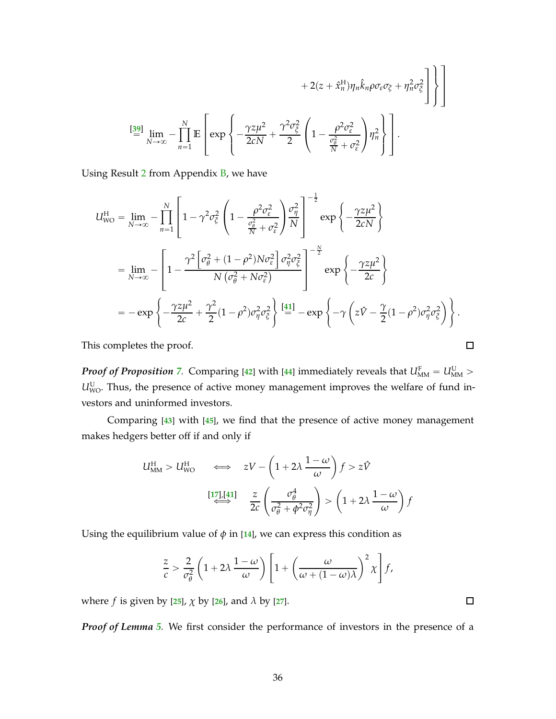$$
+2(z+\hat{x}_{n}^{H})\eta_{n}\hat{k}_{n}\rho\sigma_{\varepsilon}\sigma_{\xi}+\eta_{n}^{2}\sigma_{\xi}^{2}\left\{\right\}\right\}
$$

$$
\left[\frac{39!}{N\rightarrow\infty}\lim_{n=1}-\prod_{n=1}^{N}\mathbb{E}\left[\exp\left\{-\frac{\gamma z\mu^{2}}{2cN}+\frac{\gamma^{2}\sigma_{\xi}^{2}}{2}\left(1-\frac{\rho^{2}\sigma_{\varepsilon}^{2}}{\frac{\sigma_{\theta}^{2}}{N}+\sigma_{\varepsilon}^{2}}\right)\eta_{n}^{2}\right\}\right].
$$

Using Result [2](#page-42-8) from Appendix [B,](#page-41-0) we have

$$
U_{\text{WO}}^{\text{H}} = \lim_{N \to \infty} -\prod_{n=1}^{N} \left[ 1 - \gamma^2 \sigma_{\xi}^2 \left( 1 - \frac{\rho^2 \sigma_{\epsilon}^2}{\frac{\sigma_{\theta}^2}{N} + \sigma_{\epsilon}^2} \right) \frac{\sigma_{\eta}^2}{N} \right]^{-\frac{1}{2}} \exp \left\{ -\frac{\gamma z \mu^2}{2cN} \right\}
$$
  
\n
$$
= \lim_{N \to \infty} -\left[ 1 - \frac{\gamma^2 \left[ \sigma_{\theta}^2 + (1 - \rho^2) N \sigma_{\epsilon}^2 \right] \sigma_{\eta}^2 \sigma_{\xi}^2}{N \left( \sigma_{\theta}^2 + N \sigma_{\epsilon}^2 \right)} \right]^{-\frac{N}{2}} \exp \left\{ -\frac{\gamma z \mu^2}{2c} \right\}
$$
  
\n
$$
= - \exp \left\{ -\frac{\gamma z \mu^2}{2c} + \frac{\gamma^2}{2} (1 - \rho^2) \sigma_{\eta}^2 \sigma_{\xi}^2 \right\} \stackrel{\text{[41]}}{=} - \exp \left\{ -\gamma \left( z \hat{V} - \frac{\gamma}{2} (1 - \rho^2) \sigma_{\eta}^2 \sigma_{\xi}^2 \right) \right\}.
$$

This completes the proof.

*Proof of Proposition [7](#page-22-2).* Comparing [[42](#page-21-2)] with [[44](#page-21-4)] immediately reveals that  $U_{\text{MM}}^{\text{F}} = U_{\text{MM}}^{\text{U}} > 0$  $U_{\text{WO}}^{\text{U}}$ . Thus, the presence of active money management improves the welfare of fund investors and uninformed investors.

Comparing [**[43](#page-21-5)**] with [**[45](#page-21-3)**], we find that the presence of active money management makes hedgers better off if and only if

$$
U_{\text{MM}}^{\text{H}} > U_{\text{WO}}^{\text{H}} \iff zV - \left(1 + 2\lambda \frac{1 - \omega}{\omega}\right) f > z\hat{V}
$$

$$
\stackrel{\text{[17],[41]}}{\iff} \frac{z}{2c} \left(\frac{\sigma_{\theta}^{4}}{\sigma_{\theta}^{2} + \phi^{2}\sigma_{\eta}^{2}}\right) > \left(1 + 2\lambda \frac{1 - \omega}{\omega}\right) f
$$

Using the equilibrium value of  $\phi$  in [[14](#page-10-0)], we can express this condition as

$$
\frac{z}{c} > \frac{2}{\sigma_{\theta}^{2}} \left( 1 + 2\lambda \frac{1 - \omega}{\omega} \right) \left[ 1 + \left( \frac{\omega}{\omega + (1 - \omega)\lambda} \right)^{2} \chi \right] f,
$$

where *f* is given by [[25](#page-15-1)],  $\chi$  by [[26](#page-15-2)], and  $\lambda$  by [[27](#page-15-3)].

*Proof of Lemma [5](#page-23-5).* We first consider the performance of investors in the presence of a

 $\Box$ 

 $\Box$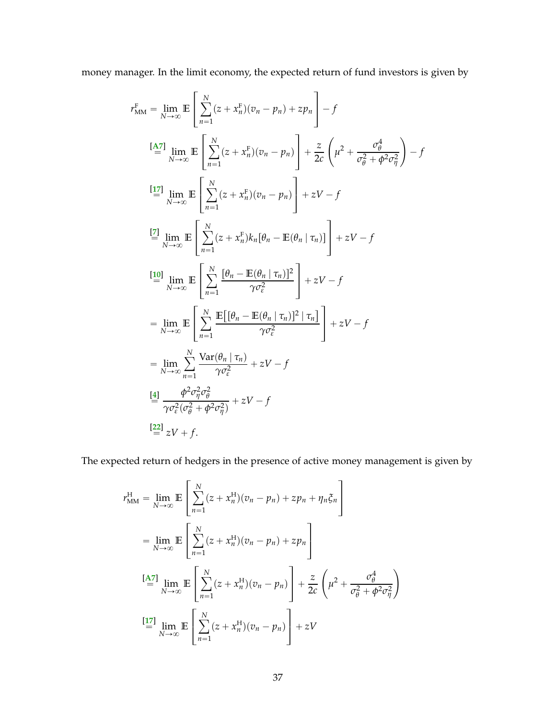money manager. In the limit economy, the expected return of fund investors is given by

$$
r_{\text{MM}}^{\text{F}} = \lim_{N \to \infty} \mathbb{E} \left[ \sum_{n=1}^{N} (z + x_n^{\text{F}})(v_n - p_n) + z p_n \right] - f
$$
\n
$$
\stackrel{[A7]}{=} \lim_{N \to \infty} \mathbb{E} \left[ \sum_{n=1}^{N} (z + x_n^{\text{F}})(v_n - p_n) \right] + \frac{z}{2c} \left( \mu^2 + \frac{\sigma_\theta^4}{\sigma_\theta^2 + \phi^2 \sigma_\eta^2} \right) - f
$$
\n
$$
\stackrel{[17]}{=} \lim_{N \to \infty} \mathbb{E} \left[ \sum_{n=1}^{N} (z + x_n^{\text{F}})(v_n - p_n) \right] + zV - f
$$
\n
$$
\stackrel{[2]}{=} \lim_{N \to \infty} \mathbb{E} \left[ \sum_{n=1}^{N} (z + x_n^{\text{F}}) k_n [\theta_n - \mathbb{E}(\theta_n | \tau_n)] \right] + zV - f
$$
\n
$$
\stackrel{[10]}{=} \lim_{N \to \infty} \mathbb{E} \left[ \sum_{n=1}^{N} \frac{[\theta_n - \mathbb{E}(\theta_n | \tau_n)]^2}{\gamma \sigma_\varepsilon^2} \right] + zV - f
$$
\n
$$
= \lim_{N \to \infty} \mathbb{E} \left[ \sum_{n=1}^{N} \frac{\mathbb{E} [[\theta_n - \mathbb{E}(\theta_n | \tau_n)]^2 | \tau_n]}{\gamma \sigma_\varepsilon^2} \right] + zV - f
$$
\n
$$
= \lim_{N \to \infty} \sum_{n=1}^{N} \frac{\text{Var}(\theta_n | \tau_n)}{\gamma \sigma_\varepsilon^2} + zV - f
$$
\n
$$
\stackrel{[4]}{=} \frac{\phi^2 \sigma_\eta^2 \sigma_\theta^2}{\gamma \sigma_\varepsilon^2 (\sigma_\theta^2 + \phi^2 \sigma_\eta^2)} + zV - f
$$
\n
$$
\stackrel{[22]}{=} zV + f.
$$

The expected return of hedgers in the presence of active money management is given by

$$
r_{\text{MM}}^{\text{H}} = \lim_{N \to \infty} \mathbb{E} \left[ \sum_{n=1}^{N} (z + x_n^{\text{H}})(v_n - p_n) + z p_n + \eta_n \xi_n \right]
$$
  
\n
$$
= \lim_{N \to \infty} \mathbb{E} \left[ \sum_{n=1}^{N} (z + x_n^{\text{H}})(v_n - p_n) + z p_n \right]
$$
  
\n
$$
\stackrel{\text{[A7]}}{=} \lim_{N \to \infty} \mathbb{E} \left[ \sum_{n=1}^{N} (z + x_n^{\text{H}})(v_n - p_n) \right] + \frac{z}{2c} \left( \mu^2 + \frac{\sigma_\theta^4}{\sigma_\theta^2 + \phi^2 \sigma_\eta^2} \right)
$$
  
\n
$$
\stackrel{\text{[I7]}}{=} \lim_{N \to \infty} \mathbb{E} \left[ \sum_{n=1}^{N} (z + x_n^{\text{H}})(v_n - p_n) \right] + zV
$$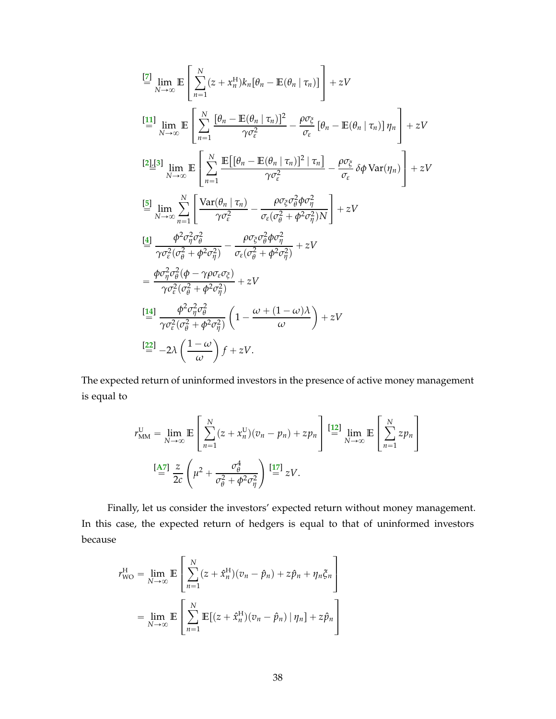$$
\begin{split}\n\left[\frac{\nabla J}{\nabla}\right] &\lim_{N\to\infty} \mathbb{E}\left[\sum_{n=1}^{N} (z + x_n^H) k_n [\theta_n - \mathbb{E}(\theta_n | \tau_n)]\right] + zV \\
\left[\frac{111}{\pi}\right] &\lim_{N\to\infty} \mathbb{E}\left[\sum_{n=1}^{N} \frac{[\theta_n - \mathbb{E}(\theta_n | \tau_n)]^2}{\gamma \sigma_{\epsilon}^2} - \frac{\rho \sigma_{\xi}}{\sigma_{\epsilon}} [\theta_n - \mathbb{E}(\theta_n | \tau_n)] \eta_n\right] + zV \\
\left[\frac{2|\mathbb{I}^3|}{\pi}\lim_{N\to\infty} \mathbb{E}\left[\sum_{n=1}^{N} \frac{\mathbb{E}[(\theta_n - \mathbb{E}(\theta_n | \tau_n)]^2 | \tau_n]}{\gamma \sigma_{\epsilon}^2} - \frac{\rho \sigma_{\xi}}{\sigma_{\epsilon}} \delta \phi \text{Var}(\eta_n)\right] + zV \\
\left[\frac{5}{\pi}\lim_{N\to\infty} \sum_{n=1}^{N} \left[\frac{\text{Var}(\theta_n | \tau_n)}{\gamma \sigma_{\epsilon}^2} - \frac{\rho \sigma_{\xi} \sigma_{\theta}^2 \phi \sigma_{\eta}^2}{\sigma_{\epsilon} (\sigma_{\theta}^2 + \phi^2 \sigma_{\eta}^2)N}\right] + zV \\
\left[\frac{4}{\pi}\frac{\phi^2 \sigma_{\eta}^2 \sigma_{\theta}^2}{\gamma \sigma_{\epsilon}^2 (\sigma_{\theta}^2 + \phi^2 \sigma_{\eta}^2)} - \frac{\rho \sigma_{\xi} \sigma_{\theta}^2 \phi \sigma_{\eta}^2}{\sigma_{\epsilon} (\sigma_{\theta}^2 + \phi^2 \sigma_{\eta}^2)} + zV \\
\left[\frac{14}{\pi}\frac{\phi^2 \sigma_{\eta}^2 \sigma_{\theta}^2}{\gamma \sigma_{\epsilon}^2 (\sigma_{\theta}^2 + \phi^2 \sigma_{\eta}^2)}\right] (1 - \frac{\omega + (1 - \omega)\lambda}{\omega}) + zV \\
\left[\frac{121}{\pi} - 2\lambda \left(\frac{1 - \omega}{\omega}\right) f + zV.\n\end{split}
$$

The expected return of uninformed investors in the presence of active money management is equal to

$$
r_{\text{MM}}^{\text{U}} = \lim_{N \to \infty} \mathbb{E} \left[ \sum_{n=1}^{N} (z + x_n^{\text{U}})(v_n - p_n) + z p_n \right] \stackrel{\text{[12]}}{=} \lim_{N \to \infty} \mathbb{E} \left[ \sum_{n=1}^{N} z p_n \right]
$$

$$
\frac{\text{[A7]}}{2c} \frac{z}{\sqrt{\mu^2 + \frac{\sigma_\theta^4}{\sigma_\theta^2 + \phi^2 \sigma_\eta^2}} \right) \stackrel{\text{[17]}}{=} zV.
$$

Finally, let us consider the investors' expected return without money management. In this case, the expected return of hedgers is equal to that of uninformed investors because

$$
r_{\text{WO}}^{\text{H}} = \lim_{N \to \infty} \mathbb{E} \left[ \sum_{n=1}^{N} (z + \hat{x}_n^{\text{H}})(v_n - \hat{p}_n) + z\hat{p}_n + \eta_n \xi_n \right]
$$

$$
= \lim_{N \to \infty} \mathbb{E} \left[ \sum_{n=1}^{N} \mathbb{E}[(z + \hat{x}_n^{\text{H}})(v_n - \hat{p}_n) | \eta_n] + z\hat{p}_n \right]
$$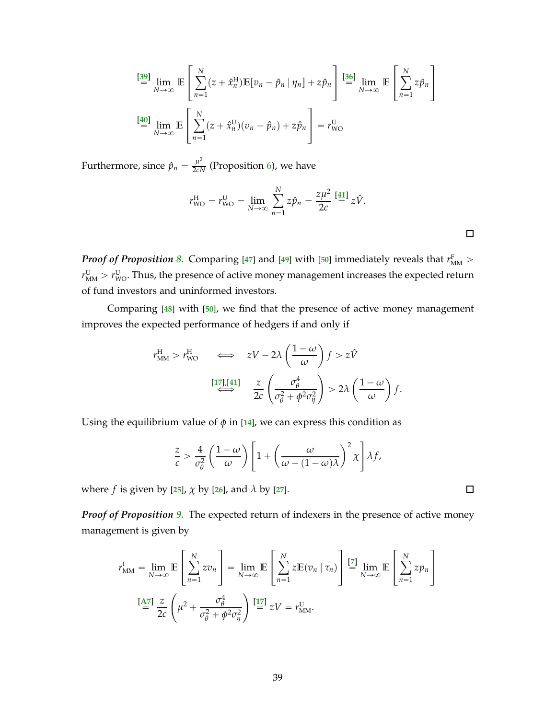$$
\stackrel{\text{[39]}}{=} \lim_{N \to \infty} \mathbb{E} \left[ \sum_{n=1}^{N} (z + \hat{x}_n^H) \mathbb{E} [v_n - \hat{p}_n | \eta_n] + z \hat{p}_n \right] \stackrel{\text{[36]}}{=} \lim_{N \to \infty} \mathbb{E} \left[ \sum_{n=1}^{N} z \hat{p}_n \right]
$$
\n
$$
\stackrel{\text{[40]}}{=} \lim_{N \to \infty} \mathbb{E} \left[ \sum_{n=1}^{N} (z + \hat{x}_n^U)(v_n - \hat{p}_n) + z \hat{p}_n \right] = r_{\text{WO}}^U
$$

Furthermore, since  $\hat{p}_n = \frac{\mu^2}{2cN}$  (Proposition [6\)](#page-19-2), we have

$$
r_{\text{WO}}^{\text{H}} = r_{\text{WO}}^{\text{U}} = \lim_{N \to \infty} \sum_{n=1}^{N} z \hat{p}_n = \frac{z \mu^2}{2c} \stackrel{\text{[41]}}{=} z \hat{V}.
$$

*Proof of Proposition [8](#page-24-2).* Comparing [[47](#page-23-4)] and [[49](#page-23-2)] with [[50](#page-23-3)] immediately reveals that  $r_{\text{MM}}^{\text{F}}$  >  $r_{\text{MM}}^{\text{U}} > r_{\text{WO}}^{\text{U}}$ . Thus, the presence of active money management increases the expected return of fund investors and uninformed investors.

Comparing [**[48](#page-23-6)**] with [**[50](#page-23-3)**], we find that the presence of active money management improves the expected performance of hedgers if and only if

$$
r_{\text{MM}}^{\text{H}} > r_{\text{WO}}^{\text{H}} \iff zV - 2\lambda \left(\frac{1-\omega}{\omega}\right) f > z\hat{V}
$$
  
\n
$$
\stackrel{\text{[17],[41]}}{\iff} \frac{z}{2c} \left(\frac{\sigma_{\theta}^{4}}{\sigma_{\theta}^{2} + \phi^{2}\sigma_{\eta}^{2}}\right) > 2\lambda \left(\frac{1-\omega}{\omega}\right) f.
$$

Using the equilibrium value of  $\phi$  in [[14](#page-10-0)], we can express this condition as

$$
\frac{z}{c} > \frac{4}{\sigma_{\theta}^{2}} \left( \frac{1 - \omega}{\omega} \right) \left[ 1 + \left( \frac{\omega}{\omega + (1 - \omega)\lambda} \right)^{2} \chi \right] \lambda f,
$$

where *f* is given by [[25](#page-15-1)],  $\chi$  by [[26](#page-15-2)], and  $\lambda$  by [[27](#page-15-3)].

*Proof of Proposition [9](#page-25-0).* The expected return of indexers in the presence of active money management is given by

$$
r_{\text{MM}}^{\text{I}} = \lim_{N \to \infty} \mathbb{E} \left[ \sum_{n=1}^{N} z v_n \right] = \lim_{N \to \infty} \mathbb{E} \left[ \sum_{n=1}^{N} z \mathbb{E} (v_n \mid \tau_n) \right] \stackrel{[7]}{=} \lim_{N \to \infty} \mathbb{E} \left[ \sum_{n=1}^{N} z p_n \right]
$$

$$
\stackrel{[A7]}{=} \frac{z}{2c} \left( \mu^2 + \frac{\sigma_\theta^4}{\sigma_\theta^2 + \phi^2 \sigma_\eta^2} \right) \stackrel{[17]}{=} zV = r_{\text{MM}}^{\text{U}}.
$$

 $\Box$ 

 $\Box$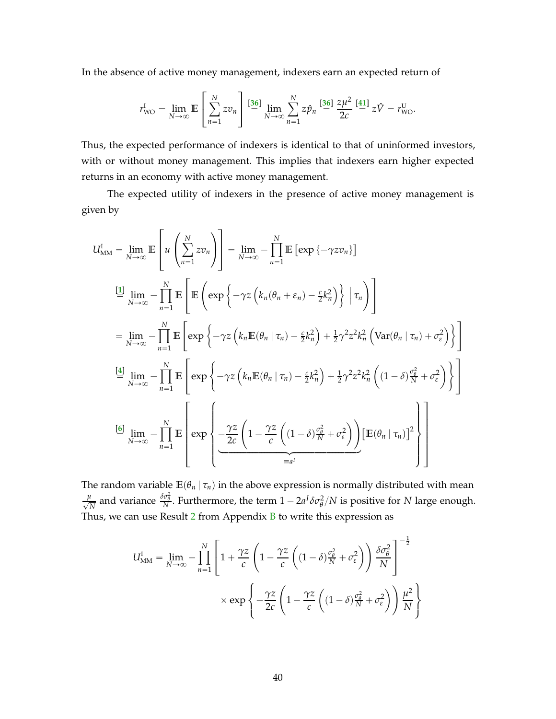In the absence of active money management, indexers earn an expected return of

$$
r_{\text{WO}}^{\text{I}} = \lim_{N \to \infty} \mathbb{E} \left[ \sum_{n=1}^{N} z v_n \right] \stackrel{\text{[36]}}{=} \lim_{N \to \infty} \sum_{n=1}^{N} z \hat{p}_n \stackrel{\text{[36]}}{=} \frac{z \mu^2}{2c} \stackrel{\text{[41]}}{=} z \hat{V} = r_{\text{WO}}^{\text{U}}.
$$

Thus, the expected performance of indexers is identical to that of uninformed investors, with or without money management. This implies that indexers earn higher expected returns in an economy with active money management.

The expected utility of indexers in the presence of active money management is given by

$$
U_{\text{MM}}^{I} = \lim_{N \to \infty} \mathbb{E} \left[ u \left( \sum_{n=1}^{N} z v_{n} \right) \right] = \lim_{N \to \infty} - \prod_{n=1}^{N} \mathbb{E} \left[ \exp \left\{ -\gamma z v_{n} \right\} \right]
$$
  
\n
$$
\stackrel{[1]}{=} \lim_{N \to \infty} - \prod_{n=1}^{N} \mathbb{E} \left[ \mathbb{E} \left( \exp \left\{ -\gamma z \left( k_{n}(\theta_{n} + \varepsilon_{n}) - \frac{\varepsilon}{2} k_{n}^{2} \right) \right\} \Big| \tau_{n} \right) \right]
$$
  
\n
$$
= \lim_{N \to \infty} - \prod_{n=1}^{N} \mathbb{E} \left[ \exp \left\{ -\gamma z \left( k_{n} \mathbb{E}(\theta_{n} \mid \tau_{n}) - \frac{\varepsilon}{2} k_{n}^{2} \right) + \frac{1}{2} \gamma^{2} z^{2} k_{n}^{2} \left( \text{Var}(\theta_{n} \mid \tau_{n}) + \sigma_{\varepsilon}^{2} \right) \right\} \right]
$$
  
\n
$$
\stackrel{[4]}{=} \lim_{N \to \infty} - \prod_{n=1}^{N} \mathbb{E} \left[ \exp \left\{ -\gamma z \left( k_{n} \mathbb{E}(\theta_{n} \mid \tau_{n}) - \frac{\varepsilon}{2} k_{n}^{2} \right) + \frac{1}{2} \gamma^{2} z^{2} k_{n}^{2} \left( (1 - \delta) \frac{\sigma_{\theta}^{2}}{N} + \sigma_{\varepsilon}^{2} \right) \right\} \right]
$$
  
\n
$$
\stackrel{[6]}{=} \lim_{N \to \infty} - \prod_{n=1}^{N} \mathbb{E} \left[ \exp \left\{ -\frac{\gamma z}{2c} \left( 1 - \frac{\gamma z}{c} \left( (1 - \delta) \frac{\sigma_{\theta}^{2}}{N} + \sigma_{\varepsilon}^{2} \right) \right) \left[ \mathbb{E}(\theta_{n} \mid \tau_{n}) \right]^{2} \right\}
$$

The random variable  $\mathbb{E}(\theta_n | \tau_n)$  in the above expression is normally distributed with mean *μ*<sub> $\frac{\mu}{\sqrt{N}}$  and variance  $\frac{\delta \sigma_\theta^2}{N}$ . Furthermore, the term  $1 - 2a^I \delta \sigma_\theta^2/N$  is positive for *N* large enough.</sub> Thus, we can use Result  $2$  from Appendix  $\overline{B}$  $\overline{B}$  $\overline{B}$  to write this expression as

$$
U_{\text{MM}}^{\text{I}} = \lim_{N \to \infty} -\prod_{n=1}^{N} \left[ 1 + \frac{\gamma z}{c} \left( 1 - \frac{\gamma z}{c} \left( (1 - \delta) \frac{\sigma_{\theta}^{2}}{N} + \sigma_{\epsilon}^{2} \right) \right) \frac{\delta \sigma_{\theta}^{2}}{N} \right]^{-\frac{1}{2}}
$$

$$
\times \exp \left\{ -\frac{\gamma z}{2c} \left( 1 - \frac{\gamma z}{c} \left( (1 - \delta) \frac{\sigma_{\theta}^{2}}{N} + \sigma_{\epsilon}^{2} \right) \right) \frac{\mu^{2}}{N} \right\}
$$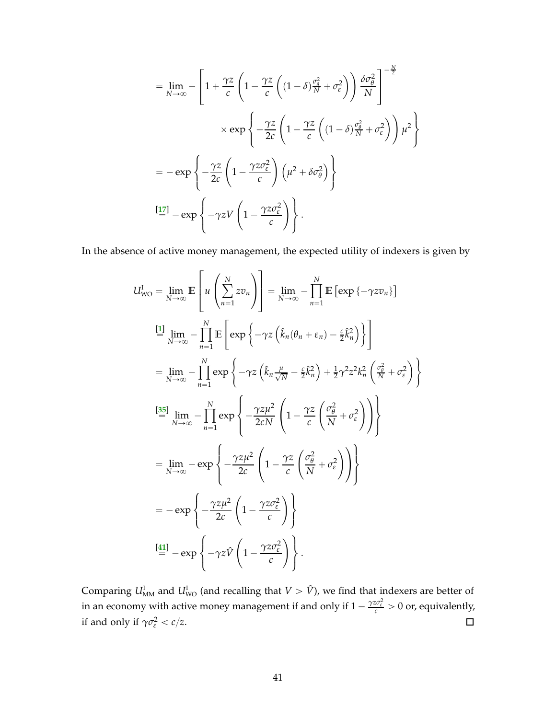$$
= \lim_{N \to \infty} -\left[1 + \frac{\gamma z}{c} \left(1 - \frac{\gamma z}{c} \left( (1 - \delta) \frac{\sigma_{\theta}^{2}}{N} + \sigma_{\epsilon}^{2} \right) \right) \frac{\delta \sigma_{\theta}^{2}}{N} \right]^{-\frac{N}{2}}
$$

$$
\times \exp\left\{-\frac{\gamma z}{2c} \left(1 - \frac{\gamma z}{c} \left( (1 - \delta) \frac{\sigma_{\theta}^{2}}{N} + \sigma_{\epsilon}^{2} \right) \right) \mu^{2} \right\}
$$

$$
= -\exp\left\{-\frac{\gamma z}{2c} \left( 1 - \frac{\gamma z \sigma_{\epsilon}^{2}}{c} \right) \left( \mu^{2} + \delta \sigma_{\theta}^{2} \right) \right\}
$$

$$
\left[\frac{17}{2} - \exp\left\{-\gamma z V \left( 1 - \frac{\gamma z \sigma_{\epsilon}^{2}}{c} \right) \right\}.
$$

In the absence of active money management, the expected utility of indexers is given by

$$
U_{\text{WO}}^{\text{I}} = \lim_{N \to \infty} \mathbb{E} \left[ u \left( \sum_{n=1}^{N} z v_n \right) \right] = \lim_{N \to \infty} - \prod_{n=1}^{N} \mathbb{E} \left[ \exp \left\{ -\gamma z v_n \right\} \right]
$$
  
\n
$$
\stackrel{[1]}{=} \lim_{N \to \infty} - \prod_{n=1}^{N} \mathbb{E} \left[ \exp \left\{ -\gamma z \left( \hat{k}_n (\theta_n + \varepsilon_n) - \frac{\varepsilon}{2} \hat{k}_n^2 \right) \right\} \right]
$$
  
\n
$$
= \lim_{N \to \infty} - \prod_{n=1}^{N} \exp \left\{ -\gamma z \left( \hat{k}_n \frac{\mu}{\sqrt{N}} - \frac{\varepsilon}{2} \hat{k}_n^2 \right) + \frac{1}{2} \gamma^2 z^2 k_n^2 \left( \frac{\sigma_0^2}{N} + \sigma_\varepsilon^2 \right) \right\}
$$
  
\n
$$
\stackrel{[35]}{=} \lim_{N \to \infty} - \prod_{n=1}^{N} \exp \left\{ -\frac{\gamma z \mu^2}{2cN} \left( 1 - \frac{\gamma z}{c} \left( \frac{\sigma_0^2}{N} + \sigma_\varepsilon^2 \right) \right) \right\}
$$
  
\n
$$
= \lim_{N \to \infty} - \exp \left\{ -\frac{\gamma z \mu^2}{2c} \left( 1 - \frac{\gamma z}{c} \left( \frac{\sigma_0^2}{N} + \sigma_\varepsilon^2 \right) \right) \right\}
$$
  
\n
$$
= - \exp \left\{ -\frac{\gamma z \mu^2}{2c} \left( 1 - \frac{\gamma z \sigma_\varepsilon^2}{c} \right) \right\}
$$
  
\n
$$
\stackrel{[41]}{=} - \exp \left\{ -\gamma z \hat{V} \left( 1 - \frac{\gamma z \sigma_\varepsilon^2}{c} \right) \right\}.
$$

<span id="page-41-0"></span>Comparing  $U_{\text{MM}}^{\text{I}}$  and  $U_{\text{WO}}^{\text{I}}$  (and recalling that  $V > \hat{V}$ ), we find that indexers are better of in an economy with active money management if and only if  $1 - \frac{\gamma z \sigma_{\epsilon}^2}{c} > 0$  or, equivalently, if and only if  $\gamma \sigma_{\varepsilon}^2 < c/z$ .  $\Box$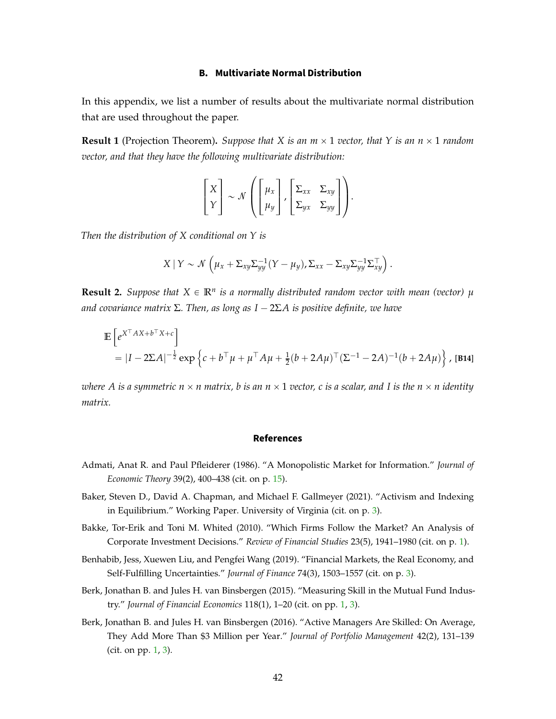# **B. Multivariate Normal Distribution**

In this appendix, we list a number of results about the multivariate normal distribution that are used throughout the paper.

<span id="page-42-5"></span>**Result 1** (Projection Theorem). *Suppose that* X is an  $m \times 1$  *vector, that* Y is an  $n \times 1$  *random vector, and that they have the following multivariate distribution:*

$$
\begin{bmatrix} X \\ Y \end{bmatrix} \sim \mathcal{N} \left( \begin{bmatrix} \mu_x \\ \mu_y \end{bmatrix}, \begin{bmatrix} \Sigma_{xx} & \Sigma_{xy} \\ \Sigma_{yx} & \Sigma_{yy} \end{bmatrix} \right).
$$

*Then the distribution of X conditional on Y is*

$$
X | Y \sim \mathcal{N}\left(\mu_x + \Sigma_{xy}\Sigma_{yy}^{-1}(Y - \mu_y), \Sigma_{xx} - \Sigma_{xy}\Sigma_{yy}^{-1}\Sigma_{xy}^{\top}\right).
$$

<span id="page-42-8"></span>**Result 2.** Suppose that  $X \in \mathbb{R}^n$  is a normally distributed random vector with mean (vector)  $\mu$ *and covariance matrix* Σ. Then, as long as  $I - 2ΣA$  is positive definite, we have

$$
\mathbb{E}\left[e^{X^{\top} A X + b^{\top} X + c}\right]
$$
  
=  $|I - 2\Sigma A|^{-\frac{1}{2}} \exp\left\{c + b^{\top} \mu + \mu^{\top} A \mu + \frac{1}{2}(b + 2A\mu)^{\top} (\Sigma^{-1} - 2A)^{-1} (b + 2A\mu)\right\},$  [B14]

*where A is a symmetric n*  $\times$  *n matrix, b is an n*  $\times$  1 *vector, c is a scalar, and I is the n*  $\times$  *n identity matrix.*

#### <span id="page-42-7"></span>**References**

- <span id="page-42-6"></span>Admati, Anat R. and Paul Pfleiderer (1986). "A Monopolistic Market for Information." *Journal of Economic Theory* 39(2), 400–438 (cit. on p. [15\)](#page-15-6).
- <span id="page-42-3"></span>Baker, Steven D., David A. Chapman, and Michael F. Gallmeyer (2021). "Activism and Indexing in Equilibrium." Working Paper. University of Virginia (cit. on p. [3\)](#page-3-1).
- <span id="page-42-2"></span>Bakke, Tor-Erik and Toni M. Whited (2010). "Which Firms Follow the Market? An Analysis of Corporate Investment Decisions." *Review of Financial Studies* 23(5), 1941–1980 (cit. on p. [1\)](#page-1-1).
- <span id="page-42-4"></span>Benhabib, Jess, Xuewen Liu, and Pengfei Wang (2019). "Financial Markets, the Real Economy, and Self-Fulfilling Uncertainties." *Journal of Finance* 74(3), 1503–1557 (cit. on p. [3\)](#page-3-1).
- <span id="page-42-0"></span>Berk, Jonathan B. and Jules H. van Binsbergen (2015). "Measuring Skill in the Mutual Fund Industry." *Journal of Financial Economics* 118(1), 1–20 (cit. on pp. [1,](#page-1-1) [3\)](#page-3-1).
- <span id="page-42-1"></span>Berk, Jonathan B. and Jules H. van Binsbergen (2016). "Active Managers Are Skilled: On Average, They Add More Than \$3 Million per Year." *Journal of Portfolio Management* 42(2), 131–139 (cit. on pp. [1,](#page-1-1) [3\)](#page-3-1).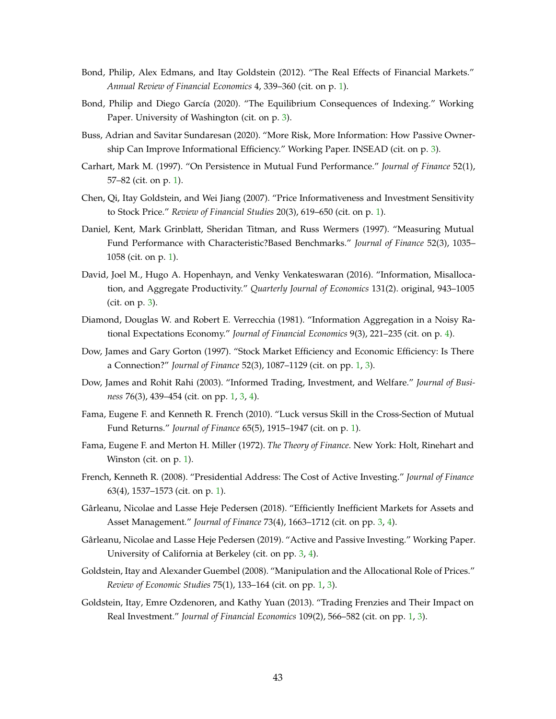- <span id="page-43-13"></span><span id="page-43-10"></span>Bond, Philip, Alex Edmans, and Itay Goldstein (2012). "The Real Effects of Financial Markets." *Annual Review of Financial Economics* 4, 339–360 (cit. on p. [1\)](#page-1-1).
- <span id="page-43-14"></span>Bond, Philip and Diego García (2020). "The Equilibrium Consequences of Indexing." Working Paper. University of Washington (cit. on p. [3\)](#page-3-1).
- <span id="page-43-0"></span>Buss, Adrian and Savitar Sundaresan (2020). "More Risk, More Information: How Passive Ownership Can Improve Informational Efficiency." Working Paper. INSEAD (cit. on p. [3\)](#page-3-1).
- <span id="page-43-9"></span>Carhart, Mark M. (1997). "On Persistence in Mutual Fund Performance." *Journal of Finance* 52(1), 57–82 (cit. on p. [1\)](#page-1-1).
- Chen, Qi, Itay Goldstein, and Wei Jiang (2007). "Price Informativeness and Investment Sensitivity to Stock Price." *Review of Financial Studies* 20(3), 619–650 (cit. on p. [1\)](#page-1-1).
- <span id="page-43-3"></span>Daniel, Kent, Mark Grinblatt, Sheridan Titman, and Russ Wermers (1997). "Measuring Mutual Fund Performance with Characteristic?Based Benchmarks." *Journal of Finance* 52(3), 1035– 1058 (cit. on p. [1\)](#page-1-1).
- <span id="page-43-15"></span>David, Joel M., Hugo A. Hopenhayn, and Venky Venkateswaran (2016). "Information, Misallocation, and Aggregate Productivity." *Quarterly Journal of Economics* 131(2). original, 943–1005 (cit. on p. [3\)](#page-3-1).
- <span id="page-43-16"></span>Diamond, Douglas W. and Robert E. Verrecchia (1981). "Information Aggregation in a Noisy Rational Expectations Economy." *Journal of Financial Economics* 9(3), 221–235 (cit. on p. [4\)](#page-4-1).
- <span id="page-43-5"></span>Dow, James and Gary Gorton (1997). "Stock Market Efficiency and Economic Efficiency: Is There a Connection?" *Journal of Finance* 52(3), 1087–1129 (cit. on pp. [1,](#page-1-1) [3\)](#page-3-1).
- <span id="page-43-6"></span>Dow, James and Rohit Rahi (2003). "Informed Trading, Investment, and Welfare." *Journal of Business* 76(3), 439–454 (cit. on pp. [1,](#page-1-1) [3,](#page-3-1) [4\)](#page-4-1).
- <span id="page-43-1"></span>Fama, Eugene F. and Kenneth R. French (2010). "Luck versus Skill in the Cross-Section of Mutual Fund Returns." *Journal of Finance* 65(5), 1915–1947 (cit. on p. [1\)](#page-1-1).
- <span id="page-43-4"></span>Fama, Eugene F. and Merton H. Miller (1972). *The Theory of Finance*. New York: Holt, Rinehart and Winston (cit. on p. [1\)](#page-1-1).
- <span id="page-43-2"></span>French, Kenneth R. (2008). "Presidential Address: The Cost of Active Investing." *Journal of Finance* 63(4), 1537–1573 (cit. on p. [1\)](#page-1-1).
- <span id="page-43-11"></span>Gârleanu, Nicolae and Lasse Heje Pedersen (2018). "Efficiently Inefficient Markets for Assets and Asset Management." *Journal of Finance* 73(4), 1663–1712 (cit. on pp. [3,](#page-3-1) [4\)](#page-4-1).
- <span id="page-43-12"></span>Gârleanu, Nicolae and Lasse Heje Pedersen (2019). "Active and Passive Investing." Working Paper. University of California at Berkeley (cit. on pp. [3,](#page-3-1) [4\)](#page-4-1).
- <span id="page-43-7"></span>Goldstein, Itay and Alexander Guembel (2008). "Manipulation and the Allocational Role of Prices." *Review of Economic Studies* 75(1), 133–164 (cit. on pp. [1,](#page-1-1) [3\)](#page-3-1).
- <span id="page-43-8"></span>Goldstein, Itay, Emre Ozdenoren, and Kathy Yuan (2013). "Trading Frenzies and Their Impact on Real Investment." *Journal of Financial Economics* 109(2), 566–582 (cit. on pp. [1,](#page-1-1) [3\)](#page-3-1).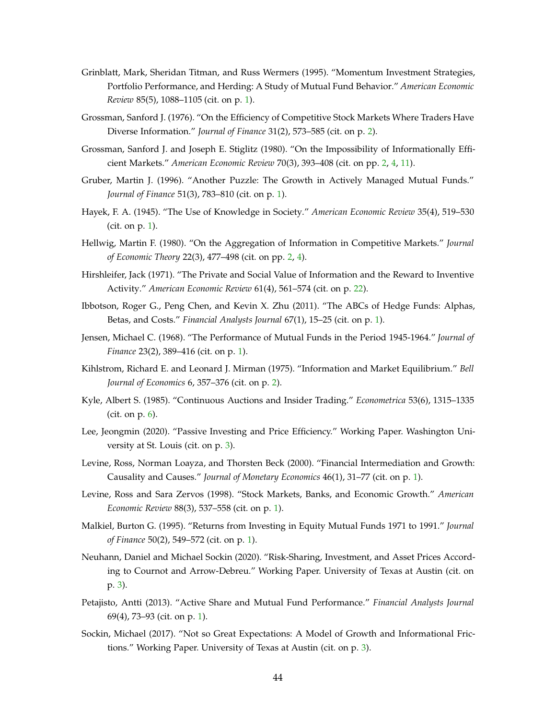- <span id="page-44-3"></span>Grinblatt, Mark, Sheridan Titman, and Russ Wermers (1995). "Momentum Investment Strategies, Portfolio Performance, and Herding: A Study of Mutual Fund Behavior." *American Economic Review* 85(5), 1088–1105 (cit. on p. [1\)](#page-1-1).
- <span id="page-44-12"></span><span id="page-44-9"></span>Grossman, Sanford J. (1976). "On the Efficiency of Competitive Stock Markets Where Traders Have Diverse Information." *Journal of Finance* 31(2), 573–585 (cit. on p. [2\)](#page-2-1).
- Grossman, Sanford J. and Joseph E. Stiglitz (1980). "On the Impossibility of Informationally Efficient Markets." *American Economic Review* 70(3), 393–408 (cit. on pp. [2,](#page-2-1) [4,](#page-4-1) [11\)](#page-11-4).
- <span id="page-44-6"></span><span id="page-44-2"></span>Gruber, Martin J. (1996). "Another Puzzle: The Growth in Actively Managed Mutual Funds." *Journal of Finance* 51(3), 783–810 (cit. on p. [1\)](#page-1-1).
- <span id="page-44-10"></span>Hayek, F. A. (1945). "The Use of Knowledge in Society." *American Economic Review* 35(4), 519–530 (cit. on p. [1\)](#page-1-1).
- <span id="page-44-17"></span>Hellwig, Martin F. (1980). "On the Aggregation of Information in Competitive Markets." *Journal of Economic Theory* 22(3), 477–498 (cit. on pp. [2,](#page-2-1) [4\)](#page-4-1).
- Hirshleifer, Jack (1971). "The Private and Social Value of Information and the Reward to Inventive Activity." *American Economic Review* 61(4), 561–574 (cit. on p. [22\)](#page-22-3).
- <span id="page-44-4"></span><span id="page-44-0"></span>Ibbotson, Roger G., Peng Chen, and Kevin X. Zhu (2011). "The ABCs of Hedge Funds: Alphas, Betas, and Costs." *Financial Analysts Journal* 67(1), 15–25 (cit. on p. [1\)](#page-1-1).
- Jensen, Michael C. (1968). "The Performance of Mutual Funds in the Period 1945-1964." *Journal of Finance* 23(2), 389–416 (cit. on p. [1\)](#page-1-1).
- <span id="page-44-11"></span>Kihlstrom, Richard E. and Leonard J. Mirman (1975). "Information and Market Equilibrium." *Bell Journal of Economics* 6, 357–376 (cit. on p. [2\)](#page-2-1).
- <span id="page-44-16"></span><span id="page-44-13"></span>Kyle, Albert S. (1985). "Continuous Auctions and Insider Trading." *Econometrica* 53(6), 1315–1335 (cit. on p. [6\)](#page-6-2).
- Lee, Jeongmin (2020). "Passive Investing and Price Efficiency." Working Paper. Washington University at St. Louis (cit. on p. [3\)](#page-3-1).
- <span id="page-44-8"></span>Levine, Ross, Norman Loayza, and Thorsten Beck (2000). "Financial Intermediation and Growth: Causality and Causes." *Journal of Monetary Economics* 46(1), 31–77 (cit. on p. [1\)](#page-1-1).
- <span id="page-44-7"></span>Levine, Ross and Sara Zervos (1998). "Stock Markets, Banks, and Economic Growth." *American Economic Review* 88(3), 537–558 (cit. on p. [1\)](#page-1-1).
- <span id="page-44-1"></span>Malkiel, Burton G. (1995). "Returns from Investing in Equity Mutual Funds 1971 to 1991." *Journal of Finance* 50(2), 549–572 (cit. on p. [1\)](#page-1-1).
- <span id="page-44-15"></span>Neuhann, Daniel and Michael Sockin (2020). "Risk-Sharing, Investment, and Asset Prices According to Cournot and Arrow-Debreu." Working Paper. University of Texas at Austin (cit. on p. [3\)](#page-3-1).
- <span id="page-44-5"></span>Petajisto, Antti (2013). "Active Share and Mutual Fund Performance." *Financial Analysts Journal* 69(4), 73–93 (cit. on p. [1\)](#page-1-1).
- <span id="page-44-14"></span>Sockin, Michael (2017). "Not so Great Expectations: A Model of Growth and Informational Frictions." Working Paper. University of Texas at Austin (cit. on p. [3\)](#page-3-1).